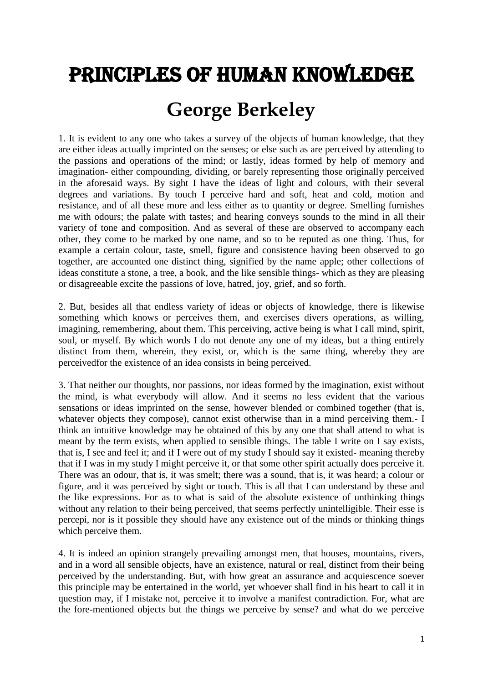## Principles of Human Knowledge

## **George Berkeley**

1. It is evident to any one who takes a survey of the objects of human knowledge, that they are either ideas actually imprinted on the senses; or else such as are perceived by attending to the passions and operations of the mind; or lastly, ideas formed by help of memory and imagination- either compounding, dividing, or barely representing those originally perceived in the aforesaid ways. By sight I have the ideas of light and colours, with their several degrees and variations. By touch I perceive hard and soft, heat and cold, motion and resistance, and of all these more and less either as to quantity or degree. Smelling furnishes me with odours; the palate with tastes; and hearing conveys sounds to the mind in all their variety of tone and composition. And as several of these are observed to accompany each other, they come to be marked by one name, and so to be reputed as one thing. Thus, for example a certain colour, taste, smell, figure and consistence having been observed to go together, are accounted one distinct thing, signified by the name apple; other collections of ideas constitute a stone, a tree, a book, and the like sensible things- which as they are pleasing or disagreeable excite the passions of love, hatred, joy, grief, and so forth.

2. But, besides all that endless variety of ideas or objects of knowledge, there is likewise something which knows or perceives them, and exercises divers operations, as willing, imagining, remembering, about them. This perceiving, active being is what I call mind, spirit, soul, or myself. By which words I do not denote any one of my ideas, but a thing entirely distinct from them, wherein, they exist, or, which is the same thing, whereby they are perceivedfor the existence of an idea consists in being perceived.

3. That neither our thoughts, nor passions, nor ideas formed by the imagination, exist without the mind, is what everybody will allow. And it seems no less evident that the various sensations or ideas imprinted on the sense, however blended or combined together (that is, whatever objects they compose), cannot exist otherwise than in a mind perceiving them.- I think an intuitive knowledge may be obtained of this by any one that shall attend to what is meant by the term exists, when applied to sensible things. The table I write on I say exists, that is, I see and feel it; and if I were out of my study I should say it existed- meaning thereby that if I was in my study I might perceive it, or that some other spirit actually does perceive it. There was an odour, that is, it was smelt; there was a sound, that is, it was heard; a colour or figure, and it was perceived by sight or touch. This is all that I can understand by these and the like expressions. For as to what is said of the absolute existence of unthinking things without any relation to their being perceived, that seems perfectly unintelligible. Their esse is percepi, nor is it possible they should have any existence out of the minds or thinking things which perceive them.

4. It is indeed an opinion strangely prevailing amongst men, that houses, mountains, rivers, and in a word all sensible objects, have an existence, natural or real, distinct from their being perceived by the understanding. But, with how great an assurance and acquiescence soever this principle may be entertained in the world, yet whoever shall find in his heart to call it in question may, if I mistake not, perceive it to involve a manifest contradiction. For, what are the fore-mentioned objects but the things we perceive by sense? and what do we perceive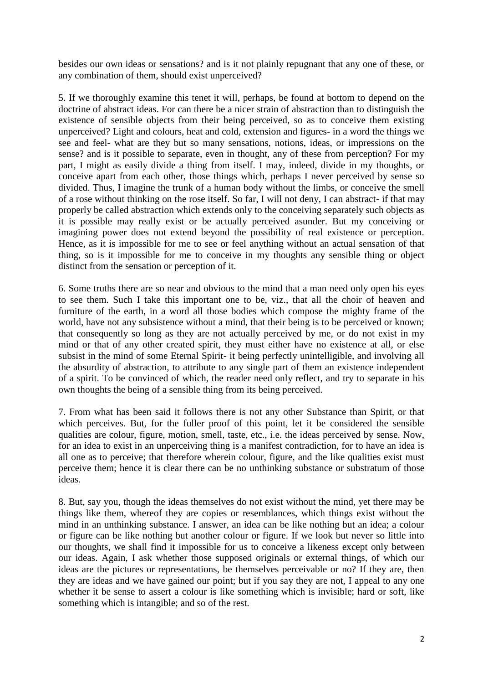besides our own ideas or sensations? and is it not plainly repugnant that any one of these, or any combination of them, should exist unperceived?

5. If we thoroughly examine this tenet it will, perhaps, be found at bottom to depend on the doctrine of abstract ideas. For can there be a nicer strain of abstraction than to distinguish the existence of sensible objects from their being perceived, so as to conceive them existing unperceived? Light and colours, heat and cold, extension and figures- in a word the things we see and feel- what are they but so many sensations, notions, ideas, or impressions on the sense? and is it possible to separate, even in thought, any of these from perception? For my part, I might as easily divide a thing from itself. I may, indeed, divide in my thoughts, or conceive apart from each other, those things which, perhaps I never perceived by sense so divided. Thus, I imagine the trunk of a human body without the limbs, or conceive the smell of a rose without thinking on the rose itself. So far, I will not deny, I can abstract- if that may properly be called abstraction which extends only to the conceiving separately such objects as it is possible may really exist or be actually perceived asunder. But my conceiving or imagining power does not extend beyond the possibility of real existence or perception. Hence, as it is impossible for me to see or feel anything without an actual sensation of that thing, so is it impossible for me to conceive in my thoughts any sensible thing or object distinct from the sensation or perception of it.

6. Some truths there are so near and obvious to the mind that a man need only open his eyes to see them. Such I take this important one to be, viz., that all the choir of heaven and furniture of the earth, in a word all those bodies which compose the mighty frame of the world, have not any subsistence without a mind, that their being is to be perceived or known; that consequently so long as they are not actually perceived by me, or do not exist in my mind or that of any other created spirit, they must either have no existence at all, or else subsist in the mind of some Eternal Spirit- it being perfectly unintelligible, and involving all the absurdity of abstraction, to attribute to any single part of them an existence independent of a spirit. To be convinced of which, the reader need only reflect, and try to separate in his own thoughts the being of a sensible thing from its being perceived.

7. From what has been said it follows there is not any other Substance than Spirit, or that which perceives. But, for the fuller proof of this point, let it be considered the sensible qualities are colour, figure, motion, smell, taste, etc., i.e. the ideas perceived by sense. Now, for an idea to exist in an unperceiving thing is a manifest contradiction, for to have an idea is all one as to perceive; that therefore wherein colour, figure, and the like qualities exist must perceive them; hence it is clear there can be no unthinking substance or substratum of those ideas.

8. But, say you, though the ideas themselves do not exist without the mind, yet there may be things like them, whereof they are copies or resemblances, which things exist without the mind in an unthinking substance. I answer, an idea can be like nothing but an idea; a colour or figure can be like nothing but another colour or figure. If we look but never so little into our thoughts, we shall find it impossible for us to conceive a likeness except only between our ideas. Again, I ask whether those supposed originals or external things, of which our ideas are the pictures or representations, be themselves perceivable or no? If they are, then they are ideas and we have gained our point; but if you say they are not, I appeal to any one whether it be sense to assert a colour is like something which is invisible; hard or soft, like something which is intangible; and so of the rest.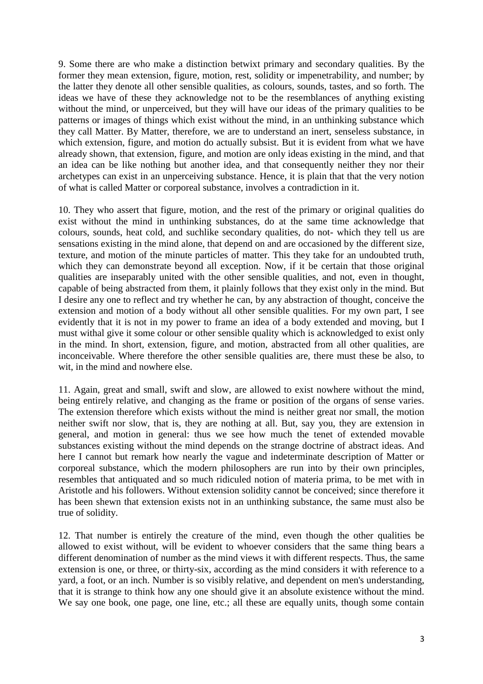9. Some there are who make a distinction betwixt primary and secondary qualities. By the former they mean extension, figure, motion, rest, solidity or impenetrability, and number; by the latter they denote all other sensible qualities, as colours, sounds, tastes, and so forth. The ideas we have of these they acknowledge not to be the resemblances of anything existing without the mind, or unperceived, but they will have our ideas of the primary qualities to be patterns or images of things which exist without the mind, in an unthinking substance which they call Matter. By Matter, therefore, we are to understand an inert, senseless substance, in which extension, figure, and motion do actually subsist. But it is evident from what we have already shown, that extension, figure, and motion are only ideas existing in the mind, and that an idea can be like nothing but another idea, and that consequently neither they nor their archetypes can exist in an unperceiving substance. Hence, it is plain that that the very notion of what is called Matter or corporeal substance, involves a contradiction in it.

10. They who assert that figure, motion, and the rest of the primary or original qualities do exist without the mind in unthinking substances, do at the same time acknowledge that colours, sounds, heat cold, and suchlike secondary qualities, do not- which they tell us are sensations existing in the mind alone, that depend on and are occasioned by the different size, texture, and motion of the minute particles of matter. This they take for an undoubted truth, which they can demonstrate beyond all exception. Now, if it be certain that those original qualities are inseparably united with the other sensible qualities, and not, even in thought, capable of being abstracted from them, it plainly follows that they exist only in the mind. But I desire any one to reflect and try whether he can, by any abstraction of thought, conceive the extension and motion of a body without all other sensible qualities. For my own part, I see evidently that it is not in my power to frame an idea of a body extended and moving, but I must withal give it some colour or other sensible quality which is acknowledged to exist only in the mind. In short, extension, figure, and motion, abstracted from all other qualities, are inconceivable. Where therefore the other sensible qualities are, there must these be also, to wit, in the mind and nowhere else.

11. Again, great and small, swift and slow, are allowed to exist nowhere without the mind, being entirely relative, and changing as the frame or position of the organs of sense varies. The extension therefore which exists without the mind is neither great nor small, the motion neither swift nor slow, that is, they are nothing at all. But, say you, they are extension in general, and motion in general: thus we see how much the tenet of extended movable substances existing without the mind depends on the strange doctrine of abstract ideas. And here I cannot but remark how nearly the vague and indeterminate description of Matter or corporeal substance, which the modern philosophers are run into by their own principles, resembles that antiquated and so much ridiculed notion of materia prima, to be met with in Aristotle and his followers. Without extension solidity cannot be conceived; since therefore it has been shewn that extension exists not in an unthinking substance, the same must also be true of solidity.

12. That number is entirely the creature of the mind, even though the other qualities be allowed to exist without, will be evident to whoever considers that the same thing bears a different denomination of number as the mind views it with different respects. Thus, the same extension is one, or three, or thirty-six, according as the mind considers it with reference to a yard, a foot, or an inch. Number is so visibly relative, and dependent on men's understanding, that it is strange to think how any one should give it an absolute existence without the mind. We say one book, one page, one line, etc.; all these are equally units, though some contain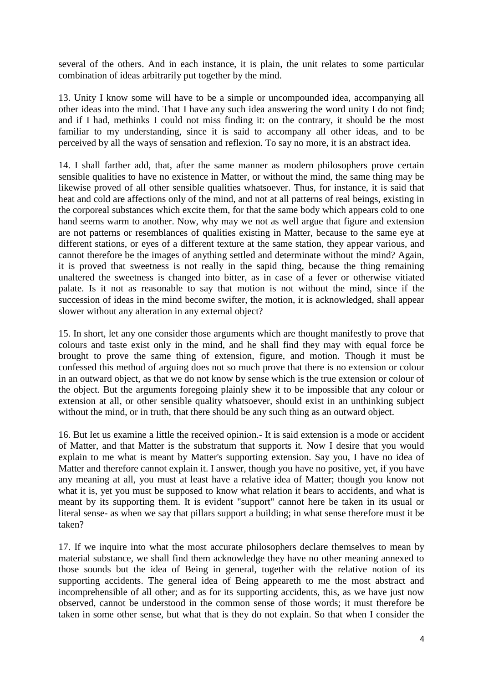several of the others. And in each instance, it is plain, the unit relates to some particular combination of ideas arbitrarily put together by the mind.

13. Unity I know some will have to be a simple or uncompounded idea, accompanying all other ideas into the mind. That I have any such idea answering the word unity I do not find; and if I had, methinks I could not miss finding it: on the contrary, it should be the most familiar to my understanding, since it is said to accompany all other ideas, and to be perceived by all the ways of sensation and reflexion. To say no more, it is an abstract idea.

14. I shall farther add, that, after the same manner as modern philosophers prove certain sensible qualities to have no existence in Matter, or without the mind, the same thing may be likewise proved of all other sensible qualities whatsoever. Thus, for instance, it is said that heat and cold are affections only of the mind, and not at all patterns of real beings, existing in the corporeal substances which excite them, for that the same body which appears cold to one hand seems warm to another. Now, why may we not as well argue that figure and extension are not patterns or resemblances of qualities existing in Matter, because to the same eye at different stations, or eyes of a different texture at the same station, they appear various, and cannot therefore be the images of anything settled and determinate without the mind? Again, it is proved that sweetness is not really in the sapid thing, because the thing remaining unaltered the sweetness is changed into bitter, as in case of a fever or otherwise vitiated palate. Is it not as reasonable to say that motion is not without the mind, since if the succession of ideas in the mind become swifter, the motion, it is acknowledged, shall appear slower without any alteration in any external object?

15. In short, let any one consider those arguments which are thought manifestly to prove that colours and taste exist only in the mind, and he shall find they may with equal force be brought to prove the same thing of extension, figure, and motion. Though it must be confessed this method of arguing does not so much prove that there is no extension or colour in an outward object, as that we do not know by sense which is the true extension or colour of the object. But the arguments foregoing plainly shew it to be impossible that any colour or extension at all, or other sensible quality whatsoever, should exist in an unthinking subject without the mind, or in truth, that there should be any such thing as an outward object.

16. But let us examine a little the received opinion.- It is said extension is a mode or accident of Matter, and that Matter is the substratum that supports it. Now I desire that you would explain to me what is meant by Matter's supporting extension. Say you, I have no idea of Matter and therefore cannot explain it. I answer, though you have no positive, yet, if you have any meaning at all, you must at least have a relative idea of Matter; though you know not what it is, yet you must be supposed to know what relation it bears to accidents, and what is meant by its supporting them. It is evident "support" cannot here be taken in its usual or literal sense- as when we say that pillars support a building; in what sense therefore must it be taken?

17. If we inquire into what the most accurate philosophers declare themselves to mean by material substance, we shall find them acknowledge they have no other meaning annexed to those sounds but the idea of Being in general, together with the relative notion of its supporting accidents. The general idea of Being appeareth to me the most abstract and incomprehensible of all other; and as for its supporting accidents, this, as we have just now observed, cannot be understood in the common sense of those words; it must therefore be taken in some other sense, but what that is they do not explain. So that when I consider the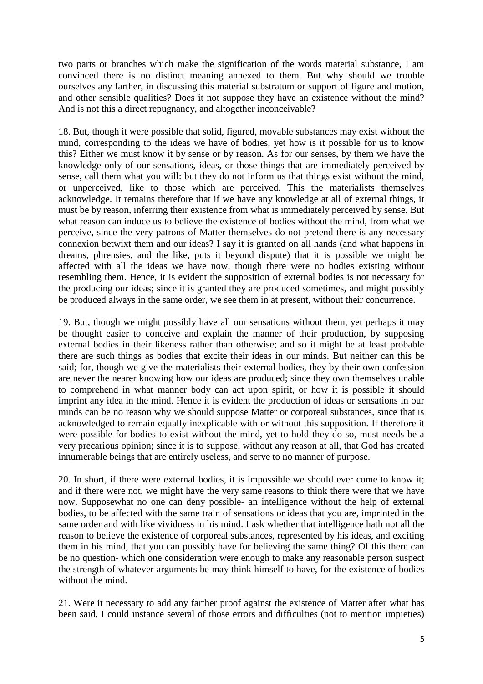two parts or branches which make the signification of the words material substance, I am convinced there is no distinct meaning annexed to them. But why should we trouble ourselves any farther, in discussing this material substratum or support of figure and motion, and other sensible qualities? Does it not suppose they have an existence without the mind? And is not this a direct repugnancy, and altogether inconceivable?

18. But, though it were possible that solid, figured, movable substances may exist without the mind, corresponding to the ideas we have of bodies, yet how is it possible for us to know this? Either we must know it by sense or by reason. As for our senses, by them we have the knowledge only of our sensations, ideas, or those things that are immediately perceived by sense, call them what you will: but they do not inform us that things exist without the mind, or unperceived, like to those which are perceived. This the materialists themselves acknowledge. It remains therefore that if we have any knowledge at all of external things, it must be by reason, inferring their existence from what is immediately perceived by sense. But what reason can induce us to believe the existence of bodies without the mind, from what we perceive, since the very patrons of Matter themselves do not pretend there is any necessary connexion betwixt them and our ideas? I say it is granted on all hands (and what happens in dreams, phrensies, and the like, puts it beyond dispute) that it is possible we might be affected with all the ideas we have now, though there were no bodies existing without resembling them. Hence, it is evident the supposition of external bodies is not necessary for the producing our ideas; since it is granted they are produced sometimes, and might possibly be produced always in the same order, we see them in at present, without their concurrence.

19. But, though we might possibly have all our sensations without them, yet perhaps it may be thought easier to conceive and explain the manner of their production, by supposing external bodies in their likeness rather than otherwise; and so it might be at least probable there are such things as bodies that excite their ideas in our minds. But neither can this be said; for, though we give the materialists their external bodies, they by their own confession are never the nearer knowing how our ideas are produced; since they own themselves unable to comprehend in what manner body can act upon spirit, or how it is possible it should imprint any idea in the mind. Hence it is evident the production of ideas or sensations in our minds can be no reason why we should suppose Matter or corporeal substances, since that is acknowledged to remain equally inexplicable with or without this supposition. If therefore it were possible for bodies to exist without the mind, yet to hold they do so, must needs be a very precarious opinion; since it is to suppose, without any reason at all, that God has created innumerable beings that are entirely useless, and serve to no manner of purpose.

20. In short, if there were external bodies, it is impossible we should ever come to know it; and if there were not, we might have the very same reasons to think there were that we have now. Supposewhat no one can deny possible- an intelligence without the help of external bodies, to be affected with the same train of sensations or ideas that you are, imprinted in the same order and with like vividness in his mind. I ask whether that intelligence hath not all the reason to believe the existence of corporeal substances, represented by his ideas, and exciting them in his mind, that you can possibly have for believing the same thing? Of this there can be no question- which one consideration were enough to make any reasonable person suspect the strength of whatever arguments be may think himself to have, for the existence of bodies without the mind.

21. Were it necessary to add any farther proof against the existence of Matter after what has been said, I could instance several of those errors and difficulties (not to mention impieties)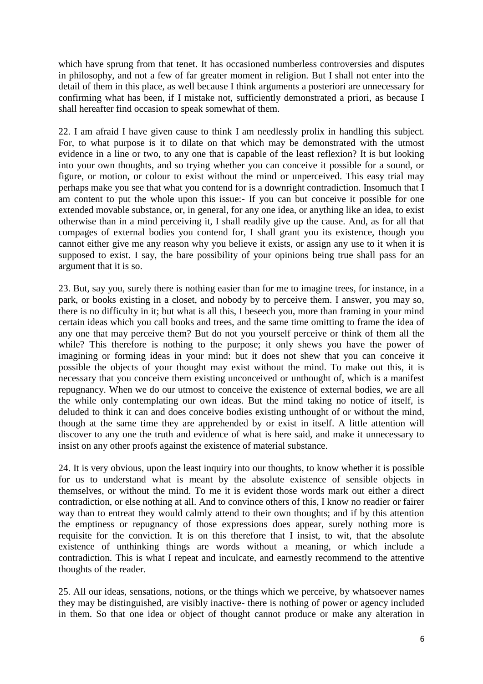which have sprung from that tenet. It has occasioned numberless controversies and disputes in philosophy, and not a few of far greater moment in religion. But I shall not enter into the detail of them in this place, as well because I think arguments a posteriori are unnecessary for confirming what has been, if I mistake not, sufficiently demonstrated a priori, as because I shall hereafter find occasion to speak somewhat of them.

22. I am afraid I have given cause to think I am needlessly prolix in handling this subject. For, to what purpose is it to dilate on that which may be demonstrated with the utmost evidence in a line or two, to any one that is capable of the least reflexion? It is but looking into your own thoughts, and so trying whether you can conceive it possible for a sound, or figure, or motion, or colour to exist without the mind or unperceived. This easy trial may perhaps make you see that what you contend for is a downright contradiction. Insomuch that I am content to put the whole upon this issue:- If you can but conceive it possible for one extended movable substance, or, in general, for any one idea, or anything like an idea, to exist otherwise than in a mind perceiving it, I shall readily give up the cause. And, as for all that compages of external bodies you contend for, I shall grant you its existence, though you cannot either give me any reason why you believe it exists, or assign any use to it when it is supposed to exist. I say, the bare possibility of your opinions being true shall pass for an argument that it is so.

23. But, say you, surely there is nothing easier than for me to imagine trees, for instance, in a park, or books existing in a closet, and nobody by to perceive them. I answer, you may so, there is no difficulty in it; but what is all this, I beseech you, more than framing in your mind certain ideas which you call books and trees, and the same time omitting to frame the idea of any one that may perceive them? But do not you yourself perceive or think of them all the while? This therefore is nothing to the purpose; it only shews you have the power of imagining or forming ideas in your mind: but it does not shew that you can conceive it possible the objects of your thought may exist without the mind. To make out this, it is necessary that you conceive them existing unconceived or unthought of, which is a manifest repugnancy. When we do our utmost to conceive the existence of external bodies, we are all the while only contemplating our own ideas. But the mind taking no notice of itself, is deluded to think it can and does conceive bodies existing unthought of or without the mind, though at the same time they are apprehended by or exist in itself. A little attention will discover to any one the truth and evidence of what is here said, and make it unnecessary to insist on any other proofs against the existence of material substance.

24. It is very obvious, upon the least inquiry into our thoughts, to know whether it is possible for us to understand what is meant by the absolute existence of sensible objects in themselves, or without the mind. To me it is evident those words mark out either a direct contradiction, or else nothing at all. And to convince others of this, I know no readier or fairer way than to entreat they would calmly attend to their own thoughts; and if by this attention the emptiness or repugnancy of those expressions does appear, surely nothing more is requisite for the conviction. It is on this therefore that I insist, to wit, that the absolute existence of unthinking things are words without a meaning, or which include a contradiction. This is what I repeat and inculcate, and earnestly recommend to the attentive thoughts of the reader.

25. All our ideas, sensations, notions, or the things which we perceive, by whatsoever names they may be distinguished, are visibly inactive- there is nothing of power or agency included in them. So that one idea or object of thought cannot produce or make any alteration in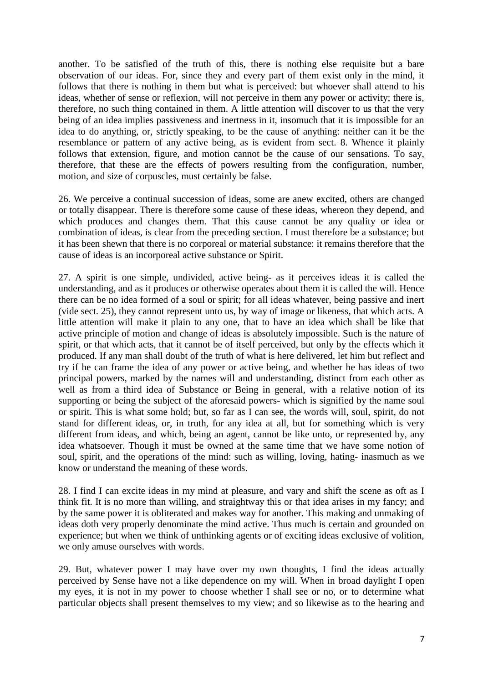another. To be satisfied of the truth of this, there is nothing else requisite but a bare observation of our ideas. For, since they and every part of them exist only in the mind, it follows that there is nothing in them but what is perceived: but whoever shall attend to his ideas, whether of sense or reflexion, will not perceive in them any power or activity; there is, therefore, no such thing contained in them. A little attention will discover to us that the very being of an idea implies passiveness and inertness in it, insomuch that it is impossible for an idea to do anything, or, strictly speaking, to be the cause of anything: neither can it be the resemblance or pattern of any active being, as is evident from sect. 8. Whence it plainly follows that extension, figure, and motion cannot be the cause of our sensations. To say, therefore, that these are the effects of powers resulting from the configuration, number, motion, and size of corpuscles, must certainly be false.

26. We perceive a continual succession of ideas, some are anew excited, others are changed or totally disappear. There is therefore some cause of these ideas, whereon they depend, and which produces and changes them. That this cause cannot be any quality or idea or combination of ideas, is clear from the preceding section. I must therefore be a substance; but it has been shewn that there is no corporeal or material substance: it remains therefore that the cause of ideas is an incorporeal active substance or Spirit.

27. A spirit is one simple, undivided, active being- as it perceives ideas it is called the understanding, and as it produces or otherwise operates about them it is called the will. Hence there can be no idea formed of a soul or spirit; for all ideas whatever, being passive and inert (vide sect. 25), they cannot represent unto us, by way of image or likeness, that which acts. A little attention will make it plain to any one, that to have an idea which shall be like that active principle of motion and change of ideas is absolutely impossible. Such is the nature of spirit, or that which acts, that it cannot be of itself perceived, but only by the effects which it produced. If any man shall doubt of the truth of what is here delivered, let him but reflect and try if he can frame the idea of any power or active being, and whether he has ideas of two principal powers, marked by the names will and understanding, distinct from each other as well as from a third idea of Substance or Being in general, with a relative notion of its supporting or being the subject of the aforesaid powers- which is signified by the name soul or spirit. This is what some hold; but, so far as I can see, the words will, soul, spirit, do not stand for different ideas, or, in truth, for any idea at all, but for something which is very different from ideas, and which, being an agent, cannot be like unto, or represented by, any idea whatsoever. Though it must be owned at the same time that we have some notion of soul, spirit, and the operations of the mind: such as willing, loving, hating- inasmuch as we know or understand the meaning of these words.

28. I find I can excite ideas in my mind at pleasure, and vary and shift the scene as oft as I think fit. It is no more than willing, and straightway this or that idea arises in my fancy; and by the same power it is obliterated and makes way for another. This making and unmaking of ideas doth very properly denominate the mind active. Thus much is certain and grounded on experience; but when we think of unthinking agents or of exciting ideas exclusive of volition, we only amuse ourselves with words.

29. But, whatever power I may have over my own thoughts, I find the ideas actually perceived by Sense have not a like dependence on my will. When in broad daylight I open my eyes, it is not in my power to choose whether I shall see or no, or to determine what particular objects shall present themselves to my view; and so likewise as to the hearing and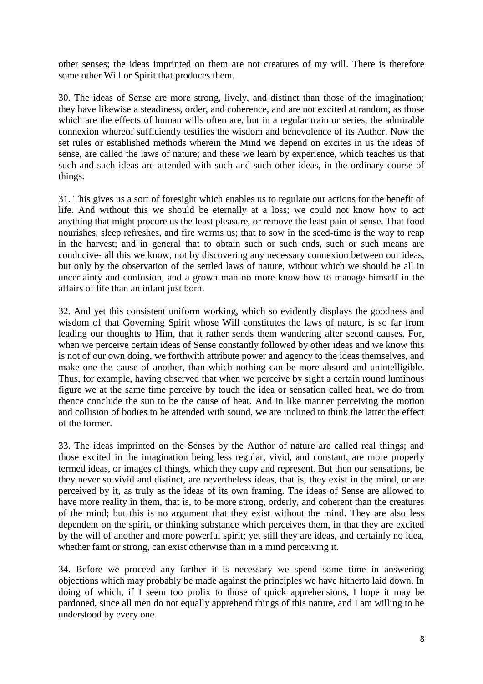other senses; the ideas imprinted on them are not creatures of my will. There is therefore some other Will or Spirit that produces them.

30. The ideas of Sense are more strong, lively, and distinct than those of the imagination; they have likewise a steadiness, order, and coherence, and are not excited at random, as those which are the effects of human wills often are, but in a regular train or series, the admirable connexion whereof sufficiently testifies the wisdom and benevolence of its Author. Now the set rules or established methods wherein the Mind we depend on excites in us the ideas of sense, are called the laws of nature; and these we learn by experience, which teaches us that such and such ideas are attended with such and such other ideas, in the ordinary course of things.

31. This gives us a sort of foresight which enables us to regulate our actions for the benefit of life. And without this we should be eternally at a loss; we could not know how to act anything that might procure us the least pleasure, or remove the least pain of sense. That food nourishes, sleep refreshes, and fire warms us; that to sow in the seed-time is the way to reap in the harvest; and in general that to obtain such or such ends, such or such means are conducive- all this we know, not by discovering any necessary connexion between our ideas, but only by the observation of the settled laws of nature, without which we should be all in uncertainty and confusion, and a grown man no more know how to manage himself in the affairs of life than an infant just born.

32. And yet this consistent uniform working, which so evidently displays the goodness and wisdom of that Governing Spirit whose Will constitutes the laws of nature, is so far from leading our thoughts to Him, that it rather sends them wandering after second causes. For, when we perceive certain ideas of Sense constantly followed by other ideas and we know this is not of our own doing, we forthwith attribute power and agency to the ideas themselves, and make one the cause of another, than which nothing can be more absurd and unintelligible. Thus, for example, having observed that when we perceive by sight a certain round luminous figure we at the same time perceive by touch the idea or sensation called heat, we do from thence conclude the sun to be the cause of heat. And in like manner perceiving the motion and collision of bodies to be attended with sound, we are inclined to think the latter the effect of the former.

33. The ideas imprinted on the Senses by the Author of nature are called real things; and those excited in the imagination being less regular, vivid, and constant, are more properly termed ideas, or images of things, which they copy and represent. But then our sensations, be they never so vivid and distinct, are nevertheless ideas, that is, they exist in the mind, or are perceived by it, as truly as the ideas of its own framing. The ideas of Sense are allowed to have more reality in them, that is, to be more strong, orderly, and coherent than the creatures of the mind; but this is no argument that they exist without the mind. They are also less dependent on the spirit, or thinking substance which perceives them, in that they are excited by the will of another and more powerful spirit; yet still they are ideas, and certainly no idea, whether faint or strong, can exist otherwise than in a mind perceiving it.

34. Before we proceed any farther it is necessary we spend some time in answering objections which may probably be made against the principles we have hitherto laid down. In doing of which, if I seem too prolix to those of quick apprehensions, I hope it may be pardoned, since all men do not equally apprehend things of this nature, and I am willing to be understood by every one.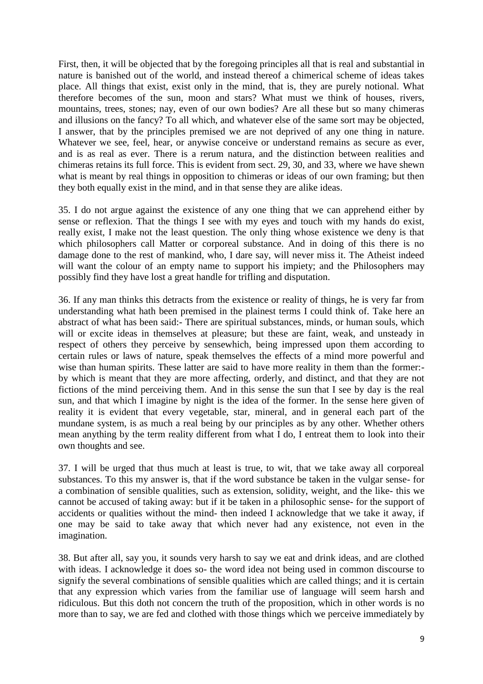First, then, it will be objected that by the foregoing principles all that is real and substantial in nature is banished out of the world, and instead thereof a chimerical scheme of ideas takes place. All things that exist, exist only in the mind, that is, they are purely notional. What therefore becomes of the sun, moon and stars? What must we think of houses, rivers, mountains, trees, stones; nay, even of our own bodies? Are all these but so many chimeras and illusions on the fancy? To all which, and whatever else of the same sort may be objected, I answer, that by the principles premised we are not deprived of any one thing in nature. Whatever we see, feel, hear, or anywise conceive or understand remains as secure as ever, and is as real as ever. There is a rerum natura, and the distinction between realities and chimeras retains its full force. This is evident from sect. 29, 30, and 33, where we have shewn what is meant by real things in opposition to chimeras or ideas of our own framing; but then they both equally exist in the mind, and in that sense they are alike ideas.

35. I do not argue against the existence of any one thing that we can apprehend either by sense or reflexion. That the things I see with my eyes and touch with my hands do exist, really exist, I make not the least question. The only thing whose existence we deny is that which philosophers call Matter or corporeal substance. And in doing of this there is no damage done to the rest of mankind, who, I dare say, will never miss it. The Atheist indeed will want the colour of an empty name to support his impiety; and the Philosophers may possibly find they have lost a great handle for trifling and disputation.

36. If any man thinks this detracts from the existence or reality of things, he is very far from understanding what hath been premised in the plainest terms I could think of. Take here an abstract of what has been said:- There are spiritual substances, minds, or human souls, which will or excite ideas in themselves at pleasure; but these are faint, weak, and unsteady in respect of others they perceive by sensewhich, being impressed upon them according to certain rules or laws of nature, speak themselves the effects of a mind more powerful and wise than human spirits. These latter are said to have more reality in them than the former: by which is meant that they are more affecting, orderly, and distinct, and that they are not fictions of the mind perceiving them. And in this sense the sun that I see by day is the real sun, and that which I imagine by night is the idea of the former. In the sense here given of reality it is evident that every vegetable, star, mineral, and in general each part of the mundane system, is as much a real being by our principles as by any other. Whether others mean anything by the term reality different from what I do, I entreat them to look into their own thoughts and see.

37. I will be urged that thus much at least is true, to wit, that we take away all corporeal substances. To this my answer is, that if the word substance be taken in the vulgar sense- for a combination of sensible qualities, such as extension, solidity, weight, and the like- this we cannot be accused of taking away: but if it be taken in a philosophic sense- for the support of accidents or qualities without the mind- then indeed I acknowledge that we take it away, if one may be said to take away that which never had any existence, not even in the imagination.

38. But after all, say you, it sounds very harsh to say we eat and drink ideas, and are clothed with ideas. I acknowledge it does so- the word idea not being used in common discourse to signify the several combinations of sensible qualities which are called things; and it is certain that any expression which varies from the familiar use of language will seem harsh and ridiculous. But this doth not concern the truth of the proposition, which in other words is no more than to say, we are fed and clothed with those things which we perceive immediately by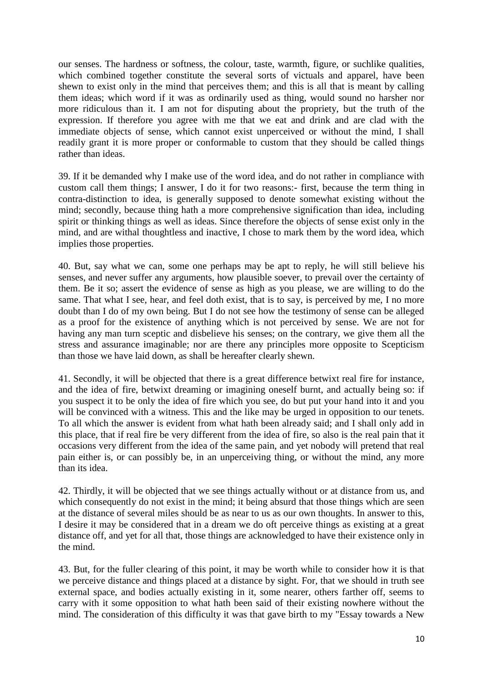our senses. The hardness or softness, the colour, taste, warmth, figure, or suchlike qualities, which combined together constitute the several sorts of victuals and apparel, have been shewn to exist only in the mind that perceives them; and this is all that is meant by calling them ideas; which word if it was as ordinarily used as thing, would sound no harsher nor more ridiculous than it. I am not for disputing about the propriety, but the truth of the expression. If therefore you agree with me that we eat and drink and are clad with the immediate objects of sense, which cannot exist unperceived or without the mind, I shall readily grant it is more proper or conformable to custom that they should be called things rather than ideas.

39. If it be demanded why I make use of the word idea, and do not rather in compliance with custom call them things; I answer, I do it for two reasons:- first, because the term thing in contra-distinction to idea, is generally supposed to denote somewhat existing without the mind; secondly, because thing hath a more comprehensive signification than idea, including spirit or thinking things as well as ideas. Since therefore the objects of sense exist only in the mind, and are withal thoughtless and inactive, I chose to mark them by the word idea, which implies those properties.

40. But, say what we can, some one perhaps may be apt to reply, he will still believe his senses, and never suffer any arguments, how plausible soever, to prevail over the certainty of them. Be it so; assert the evidence of sense as high as you please, we are willing to do the same. That what I see, hear, and feel doth exist, that is to say, is perceived by me, I no more doubt than I do of my own being. But I do not see how the testimony of sense can be alleged as a proof for the existence of anything which is not perceived by sense. We are not for having any man turn sceptic and disbelieve his senses; on the contrary, we give them all the stress and assurance imaginable; nor are there any principles more opposite to Scepticism than those we have laid down, as shall be hereafter clearly shewn.

41. Secondly, it will be objected that there is a great difference betwixt real fire for instance, and the idea of fire, betwixt dreaming or imagining oneself burnt, and actually being so: if you suspect it to be only the idea of fire which you see, do but put your hand into it and you will be convinced with a witness. This and the like may be urged in opposition to our tenets. To all which the answer is evident from what hath been already said; and I shall only add in this place, that if real fire be very different from the idea of fire, so also is the real pain that it occasions very different from the idea of the same pain, and yet nobody will pretend that real pain either is, or can possibly be, in an unperceiving thing, or without the mind, any more than its idea.

42. Thirdly, it will be objected that we see things actually without or at distance from us, and which consequently do not exist in the mind; it being absurd that those things which are seen at the distance of several miles should be as near to us as our own thoughts. In answer to this, I desire it may be considered that in a dream we do oft perceive things as existing at a great distance off, and yet for all that, those things are acknowledged to have their existence only in the mind.

43. But, for the fuller clearing of this point, it may be worth while to consider how it is that we perceive distance and things placed at a distance by sight. For, that we should in truth see external space, and bodies actually existing in it, some nearer, others farther off, seems to carry with it some opposition to what hath been said of their existing nowhere without the mind. The consideration of this difficulty it was that gave birth to my "Essay towards a New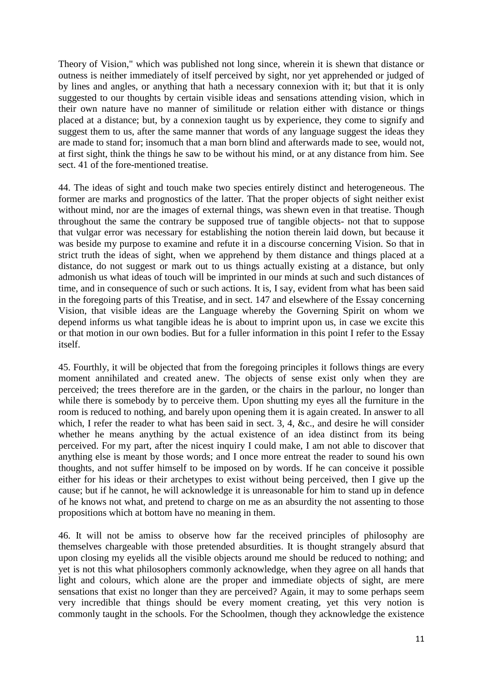Theory of Vision," which was published not long since, wherein it is shewn that distance or outness is neither immediately of itself perceived by sight, nor yet apprehended or judged of by lines and angles, or anything that hath a necessary connexion with it; but that it is only suggested to our thoughts by certain visible ideas and sensations attending vision, which in their own nature have no manner of similitude or relation either with distance or things placed at a distance; but, by a connexion taught us by experience, they come to signify and suggest them to us, after the same manner that words of any language suggest the ideas they are made to stand for; insomuch that a man born blind and afterwards made to see, would not, at first sight, think the things he saw to be without his mind, or at any distance from him. See sect. 41 of the fore-mentioned treatise.

44. The ideas of sight and touch make two species entirely distinct and heterogeneous. The former are marks and prognostics of the latter. That the proper objects of sight neither exist without mind, nor are the images of external things, was shewn even in that treatise. Though throughout the same the contrary be supposed true of tangible objects- not that to suppose that vulgar error was necessary for establishing the notion therein laid down, but because it was beside my purpose to examine and refute it in a discourse concerning Vision. So that in strict truth the ideas of sight, when we apprehend by them distance and things placed at a distance, do not suggest or mark out to us things actually existing at a distance, but only admonish us what ideas of touch will be imprinted in our minds at such and such distances of time, and in consequence of such or such actions. It is, I say, evident from what has been said in the foregoing parts of this Treatise, and in sect. 147 and elsewhere of the Essay concerning Vision, that visible ideas are the Language whereby the Governing Spirit on whom we depend informs us what tangible ideas he is about to imprint upon us, in case we excite this or that motion in our own bodies. But for a fuller information in this point I refer to the Essay itself.

45. Fourthly, it will be objected that from the foregoing principles it follows things are every moment annihilated and created anew. The objects of sense exist only when they are perceived; the trees therefore are in the garden, or the chairs in the parlour, no longer than while there is somebody by to perceive them. Upon shutting my eyes all the furniture in the room is reduced to nothing, and barely upon opening them it is again created. In answer to all which, I refer the reader to what has been said in sect. 3, 4, &c., and desire he will consider whether he means anything by the actual existence of an idea distinct from its being perceived. For my part, after the nicest inquiry I could make, I am not able to discover that anything else is meant by those words; and I once more entreat the reader to sound his own thoughts, and not suffer himself to be imposed on by words. If he can conceive it possible either for his ideas or their archetypes to exist without being perceived, then I give up the cause; but if he cannot, he will acknowledge it is unreasonable for him to stand up in defence of he knows not what, and pretend to charge on me as an absurdity the not assenting to those propositions which at bottom have no meaning in them.

46. It will not be amiss to observe how far the received principles of philosophy are themselves chargeable with those pretended absurdities. It is thought strangely absurd that upon closing my eyelids all the visible objects around me should be reduced to nothing; and yet is not this what philosophers commonly acknowledge, when they agree on all hands that light and colours, which alone are the proper and immediate objects of sight, are mere sensations that exist no longer than they are perceived? Again, it may to some perhaps seem very incredible that things should be every moment creating, yet this very notion is commonly taught in the schools. For the Schoolmen, though they acknowledge the existence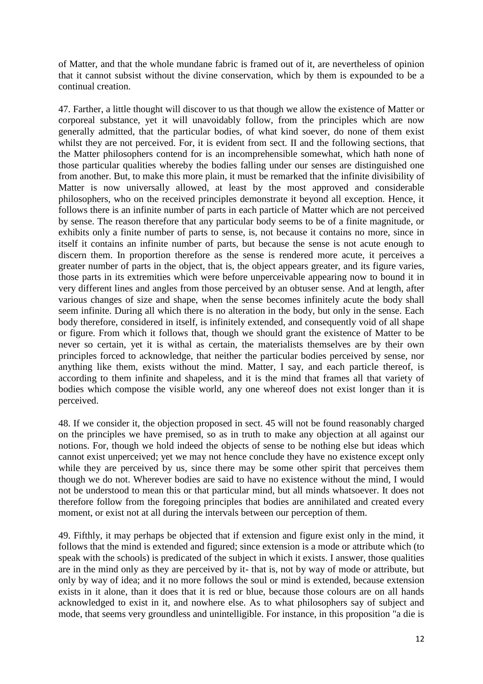of Matter, and that the whole mundane fabric is framed out of it, are nevertheless of opinion that it cannot subsist without the divine conservation, which by them is expounded to be a continual creation.

47. Farther, a little thought will discover to us that though we allow the existence of Matter or corporeal substance, yet it will unavoidably follow, from the principles which are now generally admitted, that the particular bodies, of what kind soever, do none of them exist whilst they are not perceived. For, it is evident from sect. II and the following sections, that the Matter philosophers contend for is an incomprehensible somewhat, which hath none of those particular qualities whereby the bodies falling under our senses are distinguished one from another. But, to make this more plain, it must be remarked that the infinite divisibility of Matter is now universally allowed, at least by the most approved and considerable philosophers, who on the received principles demonstrate it beyond all exception. Hence, it follows there is an infinite number of parts in each particle of Matter which are not perceived by sense. The reason therefore that any particular body seems to be of a finite magnitude, or exhibits only a finite number of parts to sense, is, not because it contains no more, since in itself it contains an infinite number of parts, but because the sense is not acute enough to discern them. In proportion therefore as the sense is rendered more acute, it perceives a greater number of parts in the object, that is, the object appears greater, and its figure varies, those parts in its extremities which were before unperceivable appearing now to bound it in very different lines and angles from those perceived by an obtuser sense. And at length, after various changes of size and shape, when the sense becomes infinitely acute the body shall seem infinite. During all which there is no alteration in the body, but only in the sense. Each body therefore, considered in itself, is infinitely extended, and consequently void of all shape or figure. From which it follows that, though we should grant the existence of Matter to be never so certain, yet it is withal as certain, the materialists themselves are by their own principles forced to acknowledge, that neither the particular bodies perceived by sense, nor anything like them, exists without the mind. Matter, I say, and each particle thereof, is according to them infinite and shapeless, and it is the mind that frames all that variety of bodies which compose the visible world, any one whereof does not exist longer than it is perceived.

48. If we consider it, the objection proposed in sect. 45 will not be found reasonably charged on the principles we have premised, so as in truth to make any objection at all against our notions. For, though we hold indeed the objects of sense to be nothing else but ideas which cannot exist unperceived; yet we may not hence conclude they have no existence except only while they are perceived by us, since there may be some other spirit that perceives them though we do not. Wherever bodies are said to have no existence without the mind, I would not be understood to mean this or that particular mind, but all minds whatsoever. It does not therefore follow from the foregoing principles that bodies are annihilated and created every moment, or exist not at all during the intervals between our perception of them.

49. Fifthly, it may perhaps be objected that if extension and figure exist only in the mind, it follows that the mind is extended and figured; since extension is a mode or attribute which (to speak with the schools) is predicated of the subject in which it exists. I answer, those qualities are in the mind only as they are perceived by it- that is, not by way of mode or attribute, but only by way of idea; and it no more follows the soul or mind is extended, because extension exists in it alone, than it does that it is red or blue, because those colours are on all hands acknowledged to exist in it, and nowhere else. As to what philosophers say of subject and mode, that seems very groundless and unintelligible. For instance, in this proposition "a die is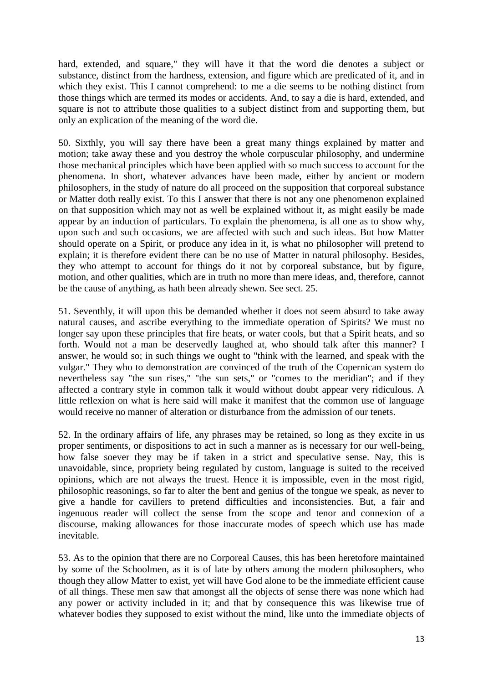hard, extended, and square," they will have it that the word die denotes a subject or substance, distinct from the hardness, extension, and figure which are predicated of it, and in which they exist. This I cannot comprehend: to me a die seems to be nothing distinct from those things which are termed its modes or accidents. And, to say a die is hard, extended, and square is not to attribute those qualities to a subject distinct from and supporting them, but only an explication of the meaning of the word die.

50. Sixthly, you will say there have been a great many things explained by matter and motion; take away these and you destroy the whole corpuscular philosophy, and undermine those mechanical principles which have been applied with so much success to account for the phenomena. In short, whatever advances have been made, either by ancient or modern philosophers, in the study of nature do all proceed on the supposition that corporeal substance or Matter doth really exist. To this I answer that there is not any one phenomenon explained on that supposition which may not as well be explained without it, as might easily be made appear by an induction of particulars. To explain the phenomena, is all one as to show why, upon such and such occasions, we are affected with such and such ideas. But how Matter should operate on a Spirit, or produce any idea in it, is what no philosopher will pretend to explain; it is therefore evident there can be no use of Matter in natural philosophy. Besides, they who attempt to account for things do it not by corporeal substance, but by figure, motion, and other qualities, which are in truth no more than mere ideas, and, therefore, cannot be the cause of anything, as hath been already shewn. See sect. 25.

51. Seventhly, it will upon this be demanded whether it does not seem absurd to take away natural causes, and ascribe everything to the immediate operation of Spirits? We must no longer say upon these principles that fire heats, or water cools, but that a Spirit heats, and so forth. Would not a man be deservedly laughed at, who should talk after this manner? I answer, he would so; in such things we ought to "think with the learned, and speak with the vulgar." They who to demonstration are convinced of the truth of the Copernican system do nevertheless say "the sun rises," "the sun sets," or "comes to the meridian"; and if they affected a contrary style in common talk it would without doubt appear very ridiculous. A little reflexion on what is here said will make it manifest that the common use of language would receive no manner of alteration or disturbance from the admission of our tenets.

52. In the ordinary affairs of life, any phrases may be retained, so long as they excite in us proper sentiments, or dispositions to act in such a manner as is necessary for our well-being, how false soever they may be if taken in a strict and speculative sense. Nay, this is unavoidable, since, propriety being regulated by custom, language is suited to the received opinions, which are not always the truest. Hence it is impossible, even in the most rigid, philosophic reasonings, so far to alter the bent and genius of the tongue we speak, as never to give a handle for cavillers to pretend difficulties and inconsistencies. But, a fair and ingenuous reader will collect the sense from the scope and tenor and connexion of a discourse, making allowances for those inaccurate modes of speech which use has made inevitable.

53. As to the opinion that there are no Corporeal Causes, this has been heretofore maintained by some of the Schoolmen, as it is of late by others among the modern philosophers, who though they allow Matter to exist, yet will have God alone to be the immediate efficient cause of all things. These men saw that amongst all the objects of sense there was none which had any power or activity included in it; and that by consequence this was likewise true of whatever bodies they supposed to exist without the mind, like unto the immediate objects of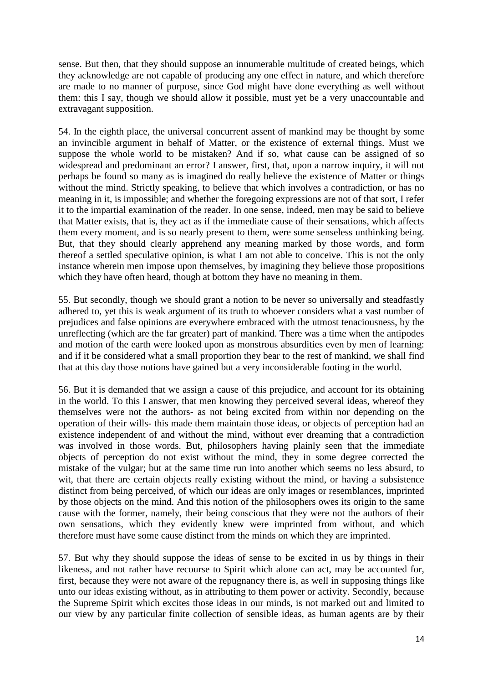sense. But then, that they should suppose an innumerable multitude of created beings, which they acknowledge are not capable of producing any one effect in nature, and which therefore are made to no manner of purpose, since God might have done everything as well without them: this I say, though we should allow it possible, must yet be a very unaccountable and extravagant supposition.

54. In the eighth place, the universal concurrent assent of mankind may be thought by some an invincible argument in behalf of Matter, or the existence of external things. Must we suppose the whole world to be mistaken? And if so, what cause can be assigned of so widespread and predominant an error? I answer, first, that, upon a narrow inquiry, it will not perhaps be found so many as is imagined do really believe the existence of Matter or things without the mind. Strictly speaking, to believe that which involves a contradiction, or has no meaning in it, is impossible; and whether the foregoing expressions are not of that sort, I refer it to the impartial examination of the reader. In one sense, indeed, men may be said to believe that Matter exists, that is, they act as if the immediate cause of their sensations, which affects them every moment, and is so nearly present to them, were some senseless unthinking being. But, that they should clearly apprehend any meaning marked by those words, and form thereof a settled speculative opinion, is what I am not able to conceive. This is not the only instance wherein men impose upon themselves, by imagining they believe those propositions which they have often heard, though at bottom they have no meaning in them.

55. But secondly, though we should grant a notion to be never so universally and steadfastly adhered to, yet this is weak argument of its truth to whoever considers what a vast number of prejudices and false opinions are everywhere embraced with the utmost tenaciousness, by the unreflecting (which are the far greater) part of mankind. There was a time when the antipodes and motion of the earth were looked upon as monstrous absurdities even by men of learning: and if it be considered what a small proportion they bear to the rest of mankind, we shall find that at this day those notions have gained but a very inconsiderable footing in the world.

56. But it is demanded that we assign a cause of this prejudice, and account for its obtaining in the world. To this I answer, that men knowing they perceived several ideas, whereof they themselves were not the authors- as not being excited from within nor depending on the operation of their wills- this made them maintain those ideas, or objects of perception had an existence independent of and without the mind, without ever dreaming that a contradiction was involved in those words. But, philosophers having plainly seen that the immediate objects of perception do not exist without the mind, they in some degree corrected the mistake of the vulgar; but at the same time run into another which seems no less absurd, to wit, that there are certain objects really existing without the mind, or having a subsistence distinct from being perceived, of which our ideas are only images or resemblances, imprinted by those objects on the mind. And this notion of the philosophers owes its origin to the same cause with the former, namely, their being conscious that they were not the authors of their own sensations, which they evidently knew were imprinted from without, and which therefore must have some cause distinct from the minds on which they are imprinted.

57. But why they should suppose the ideas of sense to be excited in us by things in their likeness, and not rather have recourse to Spirit which alone can act, may be accounted for, first, because they were not aware of the repugnancy there is, as well in supposing things like unto our ideas existing without, as in attributing to them power or activity. Secondly, because the Supreme Spirit which excites those ideas in our minds, is not marked out and limited to our view by any particular finite collection of sensible ideas, as human agents are by their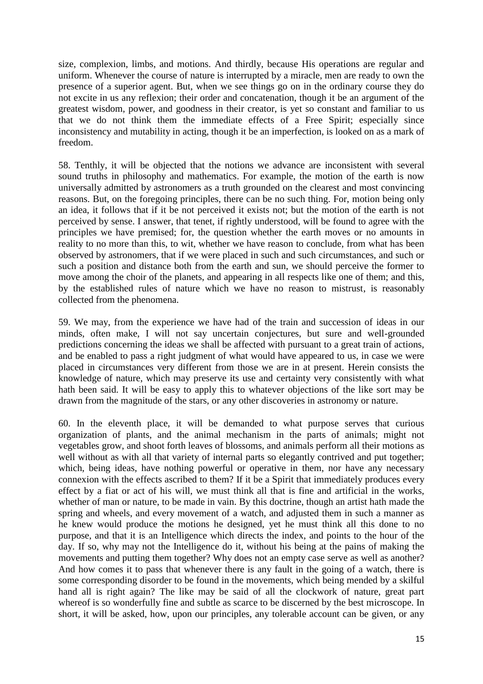size, complexion, limbs, and motions. And thirdly, because His operations are regular and uniform. Whenever the course of nature is interrupted by a miracle, men are ready to own the presence of a superior agent. But, when we see things go on in the ordinary course they do not excite in us any reflexion; their order and concatenation, though it be an argument of the greatest wisdom, power, and goodness in their creator, is yet so constant and familiar to us that we do not think them the immediate effects of a Free Spirit; especially since inconsistency and mutability in acting, though it be an imperfection, is looked on as a mark of freedom.

58. Tenthly, it will be objected that the notions we advance are inconsistent with several sound truths in philosophy and mathematics. For example, the motion of the earth is now universally admitted by astronomers as a truth grounded on the clearest and most convincing reasons. But, on the foregoing principles, there can be no such thing. For, motion being only an idea, it follows that if it be not perceived it exists not; but the motion of the earth is not perceived by sense. I answer, that tenet, if rightly understood, will be found to agree with the principles we have premised; for, the question whether the earth moves or no amounts in reality to no more than this, to wit, whether we have reason to conclude, from what has been observed by astronomers, that if we were placed in such and such circumstances, and such or such a position and distance both from the earth and sun, we should perceive the former to move among the choir of the planets, and appearing in all respects like one of them; and this, by the established rules of nature which we have no reason to mistrust, is reasonably collected from the phenomena.

59. We may, from the experience we have had of the train and succession of ideas in our minds, often make, I will not say uncertain conjectures, but sure and well-grounded predictions concerning the ideas we shall be affected with pursuant to a great train of actions, and be enabled to pass a right judgment of what would have appeared to us, in case we were placed in circumstances very different from those we are in at present. Herein consists the knowledge of nature, which may preserve its use and certainty very consistently with what hath been said. It will be easy to apply this to whatever objections of the like sort may be drawn from the magnitude of the stars, or any other discoveries in astronomy or nature.

60. In the eleventh place, it will be demanded to what purpose serves that curious organization of plants, and the animal mechanism in the parts of animals; might not vegetables grow, and shoot forth leaves of blossoms, and animals perform all their motions as well without as with all that variety of internal parts so elegantly contrived and put together; which, being ideas, have nothing powerful or operative in them, nor have any necessary connexion with the effects ascribed to them? If it be a Spirit that immediately produces every effect by a fiat or act of his will, we must think all that is fine and artificial in the works, whether of man or nature, to be made in vain. By this doctrine, though an artist hath made the spring and wheels, and every movement of a watch, and adjusted them in such a manner as he knew would produce the motions he designed, yet he must think all this done to no purpose, and that it is an Intelligence which directs the index, and points to the hour of the day. If so, why may not the Intelligence do it, without his being at the pains of making the movements and putting them together? Why does not an empty case serve as well as another? And how comes it to pass that whenever there is any fault in the going of a watch, there is some corresponding disorder to be found in the movements, which being mended by a skilful hand all is right again? The like may be said of all the clockwork of nature, great part whereof is so wonderfully fine and subtle as scarce to be discerned by the best microscope. In short, it will be asked, how, upon our principles, any tolerable account can be given, or any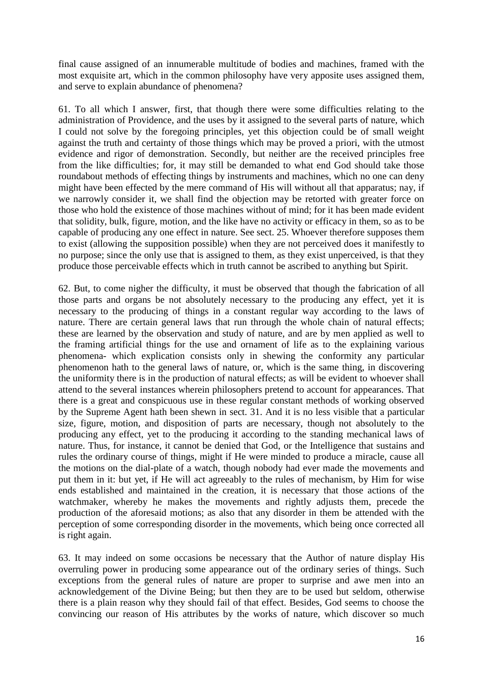final cause assigned of an innumerable multitude of bodies and machines, framed with the most exquisite art, which in the common philosophy have very apposite uses assigned them, and serve to explain abundance of phenomena?

61. To all which I answer, first, that though there were some difficulties relating to the administration of Providence, and the uses by it assigned to the several parts of nature, which I could not solve by the foregoing principles, yet this objection could be of small weight against the truth and certainty of those things which may be proved a priori, with the utmost evidence and rigor of demonstration. Secondly, but neither are the received principles free from the like difficulties; for, it may still be demanded to what end God should take those roundabout methods of effecting things by instruments and machines, which no one can deny might have been effected by the mere command of His will without all that apparatus; nay, if we narrowly consider it, we shall find the objection may be retorted with greater force on those who hold the existence of those machines without of mind; for it has been made evident that solidity, bulk, figure, motion, and the like have no activity or efficacy in them, so as to be capable of producing any one effect in nature. See sect. 25. Whoever therefore supposes them to exist (allowing the supposition possible) when they are not perceived does it manifestly to no purpose; since the only use that is assigned to them, as they exist unperceived, is that they produce those perceivable effects which in truth cannot be ascribed to anything but Spirit.

62. But, to come nigher the difficulty, it must be observed that though the fabrication of all those parts and organs be not absolutely necessary to the producing any effect, yet it is necessary to the producing of things in a constant regular way according to the laws of nature. There are certain general laws that run through the whole chain of natural effects; these are learned by the observation and study of nature, and are by men applied as well to the framing artificial things for the use and ornament of life as to the explaining various phenomena- which explication consists only in shewing the conformity any particular phenomenon hath to the general laws of nature, or, which is the same thing, in discovering the uniformity there is in the production of natural effects; as will be evident to whoever shall attend to the several instances wherein philosophers pretend to account for appearances. That there is a great and conspicuous use in these regular constant methods of working observed by the Supreme Agent hath been shewn in sect. 31. And it is no less visible that a particular size, figure, motion, and disposition of parts are necessary, though not absolutely to the producing any effect, yet to the producing it according to the standing mechanical laws of nature. Thus, for instance, it cannot be denied that God, or the Intelligence that sustains and rules the ordinary course of things, might if He were minded to produce a miracle, cause all the motions on the dial-plate of a watch, though nobody had ever made the movements and put them in it: but yet, if He will act agreeably to the rules of mechanism, by Him for wise ends established and maintained in the creation, it is necessary that those actions of the watchmaker, whereby he makes the movements and rightly adjusts them, precede the production of the aforesaid motions; as also that any disorder in them be attended with the perception of some corresponding disorder in the movements, which being once corrected all is right again.

63. It may indeed on some occasions be necessary that the Author of nature display His overruling power in producing some appearance out of the ordinary series of things. Such exceptions from the general rules of nature are proper to surprise and awe men into an acknowledgement of the Divine Being; but then they are to be used but seldom, otherwise there is a plain reason why they should fail of that effect. Besides, God seems to choose the convincing our reason of His attributes by the works of nature, which discover so much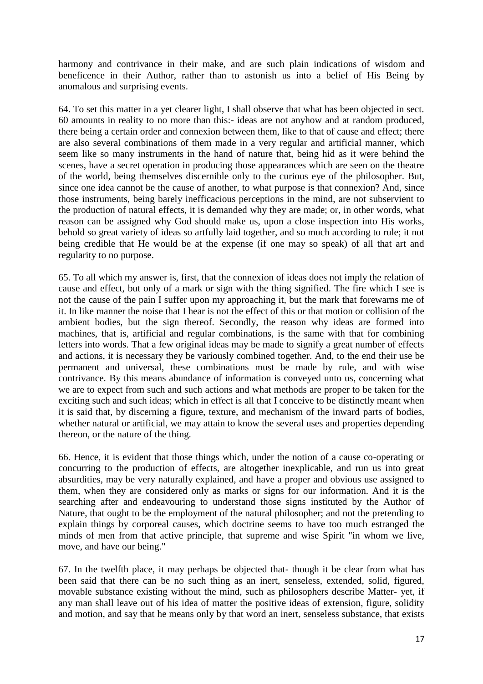harmony and contrivance in their make, and are such plain indications of wisdom and beneficence in their Author, rather than to astonish us into a belief of His Being by anomalous and surprising events.

64. To set this matter in a yet clearer light, I shall observe that what has been objected in sect. 60 amounts in reality to no more than this:- ideas are not anyhow and at random produced, there being a certain order and connexion between them, like to that of cause and effect; there are also several combinations of them made in a very regular and artificial manner, which seem like so many instruments in the hand of nature that, being hid as it were behind the scenes, have a secret operation in producing those appearances which are seen on the theatre of the world, being themselves discernible only to the curious eye of the philosopher. But, since one idea cannot be the cause of another, to what purpose is that connexion? And, since those instruments, being barely inefficacious perceptions in the mind, are not subservient to the production of natural effects, it is demanded why they are made; or, in other words, what reason can be assigned why God should make us, upon a close inspection into His works, behold so great variety of ideas so artfully laid together, and so much according to rule; it not being credible that He would be at the expense (if one may so speak) of all that art and regularity to no purpose.

65. To all which my answer is, first, that the connexion of ideas does not imply the relation of cause and effect, but only of a mark or sign with the thing signified. The fire which I see is not the cause of the pain I suffer upon my approaching it, but the mark that forewarns me of it. In like manner the noise that I hear is not the effect of this or that motion or collision of the ambient bodies, but the sign thereof. Secondly, the reason why ideas are formed into machines, that is, artificial and regular combinations, is the same with that for combining letters into words. That a few original ideas may be made to signify a great number of effects and actions, it is necessary they be variously combined together. And, to the end their use be permanent and universal, these combinations must be made by rule, and with wise contrivance. By this means abundance of information is conveyed unto us, concerning what we are to expect from such and such actions and what methods are proper to be taken for the exciting such and such ideas; which in effect is all that I conceive to be distinctly meant when it is said that, by discerning a figure, texture, and mechanism of the inward parts of bodies, whether natural or artificial, we may attain to know the several uses and properties depending thereon, or the nature of the thing.

66. Hence, it is evident that those things which, under the notion of a cause co-operating or concurring to the production of effects, are altogether inexplicable, and run us into great absurdities, may be very naturally explained, and have a proper and obvious use assigned to them, when they are considered only as marks or signs for our information. And it is the searching after and endeavouring to understand those signs instituted by the Author of Nature, that ought to be the employment of the natural philosopher; and not the pretending to explain things by corporeal causes, which doctrine seems to have too much estranged the minds of men from that active principle, that supreme and wise Spirit "in whom we live, move, and have our being."

67. In the twelfth place, it may perhaps be objected that- though it be clear from what has been said that there can be no such thing as an inert, senseless, extended, solid, figured, movable substance existing without the mind, such as philosophers describe Matter- yet, if any man shall leave out of his idea of matter the positive ideas of extension, figure, solidity and motion, and say that he means only by that word an inert, senseless substance, that exists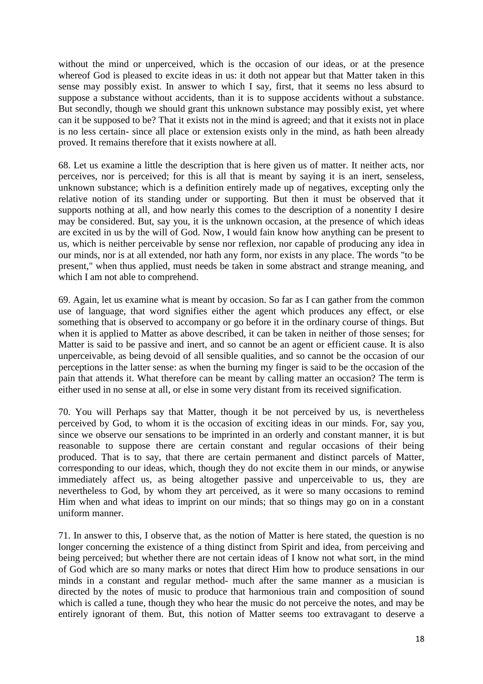without the mind or unperceived, which is the occasion of our ideas, or at the presence whereof God is pleased to excite ideas in us: it doth not appear but that Matter taken in this sense may possibly exist. In answer to which I say, first, that it seems no less absurd to suppose a substance without accidents, than it is to suppose accidents without a substance. But secondly, though we should grant this unknown substance may possibly exist, yet where can it be supposed to be? That it exists not in the mind is agreed; and that it exists not in place is no less certain- since all place or extension exists only in the mind, as hath been already proved. It remains therefore that it exists nowhere at all.

68. Let us examine a little the description that is here given us of matter. It neither acts, nor perceives, nor is perceived; for this is all that is meant by saying it is an inert, senseless, unknown substance; which is a definition entirely made up of negatives, excepting only the relative notion of its standing under or supporting. But then it must be observed that it supports nothing at all, and how nearly this comes to the description of a nonentity I desire may be considered. But, say you, it is the unknown occasion, at the presence of which ideas are excited in us by the will of God. Now, I would fain know how anything can be present to us, which is neither perceivable by sense nor reflexion, nor capable of producing any idea in our minds, nor is at all extended, nor hath any form, nor exists in any place. The words "to be present," when thus applied, must needs be taken in some abstract and strange meaning, and which I am not able to comprehend.

69. Again, let us examine what is meant by occasion. So far as I can gather from the common use of language, that word signifies either the agent which produces any effect, or else something that is observed to accompany or go before it in the ordinary course of things. But when it is applied to Matter as above described, it can be taken in neither of those senses; for Matter is said to be passive and inert, and so cannot be an agent or efficient cause. It is also unperceivable, as being devoid of all sensible qualities, and so cannot be the occasion of our perceptions in the latter sense: as when the burning my finger is said to be the occasion of the pain that attends it. What therefore can be meant by calling matter an occasion? The term is either used in no sense at all, or else in some very distant from its received signification.

70. You will Perhaps say that Matter, though it be not perceived by us, is nevertheless perceived by God, to whom it is the occasion of exciting ideas in our minds. For, say you, since we observe our sensations to be imprinted in an orderly and constant manner, it is but reasonable to suppose there are certain constant and regular occasions of their being produced. That is to say, that there are certain permanent and distinct parcels of Matter, corresponding to our ideas, which, though they do not excite them in our minds, or anywise immediately affect us, as being altogether passive and unperceivable to us, they are nevertheless to God, by whom they art perceived, as it were so many occasions to remind Him when and what ideas to imprint on our minds; that so things may go on in a constant uniform manner.

71. In answer to this, I observe that, as the notion of Matter is here stated, the question is no longer concerning the existence of a thing distinct from Spirit and idea, from perceiving and being perceived; but whether there are not certain ideas of I know not what sort, in the mind of God which are so many marks or notes that direct Him how to produce sensations in our minds in a constant and regular method- much after the same manner as a musician is directed by the notes of music to produce that harmonious train and composition of sound which is called a tune, though they who hear the music do not perceive the notes, and may be entirely ignorant of them. But, this notion of Matter seems too extravagant to deserve a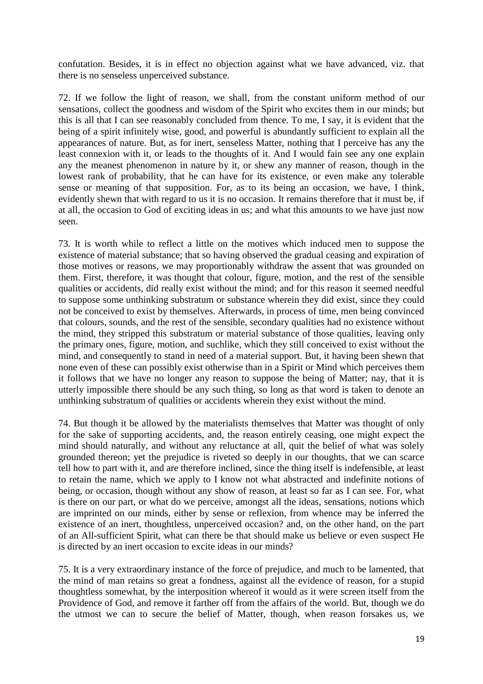confutation. Besides, it is in effect no objection against what we have advanced, viz. that there is no senseless unperceived substance.

72. If we follow the light of reason, we shall, from the constant uniform method of our sensations, collect the goodness and wisdom of the Spirit who excites them in our minds; but this is all that I can see reasonably concluded from thence. To me, I say, it is evident that the being of a spirit infinitely wise, good, and powerful is abundantly sufficient to explain all the appearances of nature. But, as for inert, senseless Matter, nothing that I perceive has any the least connexion with it, or leads to the thoughts of it. And I would fain see any one explain any the meanest phenomenon in nature by it, or shew any manner of reason, though in the lowest rank of probability, that he can have for its existence, or even make any tolerable sense or meaning of that supposition. For, as to its being an occasion, we have, I think, evidently shewn that with regard to us it is no occasion. It remains therefore that it must be, if at all, the occasion to God of exciting ideas in us; and what this amounts to we have just now seen.

73. It is worth while to reflect a little on the motives which induced men to suppose the existence of material substance; that so having observed the gradual ceasing and expiration of those motives or reasons, we may proportionably withdraw the assent that was grounded on them. First, therefore, it was thought that colour, figure, motion, and the rest of the sensible qualities or accidents, did really exist without the mind; and for this reason it seemed needful to suppose some unthinking substratum or substance wherein they did exist, since they could not be conceived to exist by themselves. Afterwards, in process of time, men being convinced that colours, sounds, and the rest of the sensible, secondary qualities had no existence without the mind, they stripped this substratum or material substance of those qualities, leaving only the primary ones, figure, motion, and suchlike, which they still conceived to exist without the mind, and consequently to stand in need of a material support. But, it having been shewn that none even of these can possibly exist otherwise than in a Spirit or Mind which perceives them it follows that we have no longer any reason to suppose the being of Matter; nay, that it is utterly impossible there should be any such thing, so long as that word is taken to denote an unthinking substratum of qualities or accidents wherein they exist without the mind.

74. But though it be allowed by the materialists themselves that Matter was thought of only for the sake of supporting accidents, and, the reason entirely ceasing, one might expect the mind should naturally, and without any reluctance at all, quit the belief of what was solely grounded thereon; yet the prejudice is riveted so deeply in our thoughts, that we can scarce tell how to part with it, and are therefore inclined, since the thing itself is indefensible, at least to retain the name, which we apply to I know not what abstracted and indefinite notions of being, or occasion, though without any show of reason, at least so far as I can see. For, what is there on our part, or what do we perceive, amongst all the ideas, sensations, notions which are imprinted on our minds, either by sense or reflexion, from whence may be inferred the existence of an inert, thoughtless, unperceived occasion? and, on the other hand, on the part of an All-sufficient Spirit, what can there be that should make us believe or even suspect He is directed by an inert occasion to excite ideas in our minds?

75. It is a very extraordinary instance of the force of prejudice, and much to be lamented, that the mind of man retains so great a fondness, against all the evidence of reason, for a stupid thoughtless somewhat, by the interposition whereof it would as it were screen itself from the Providence of God, and remove it farther off from the affairs of the world. But, though we do the utmost we can to secure the belief of Matter, though, when reason forsakes us, we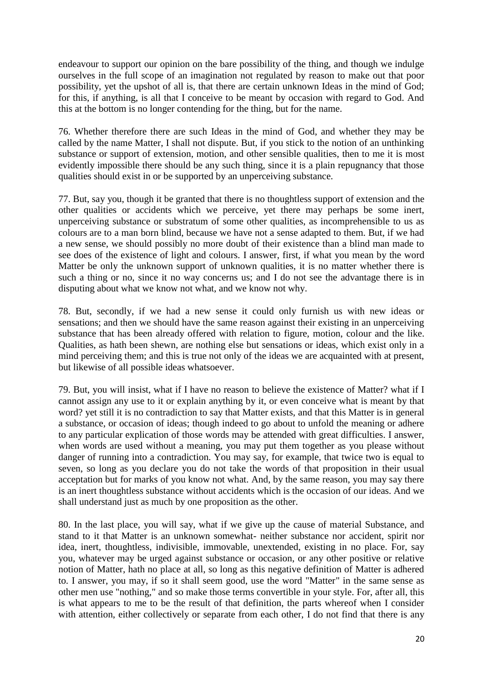endeavour to support our opinion on the bare possibility of the thing, and though we indulge ourselves in the full scope of an imagination not regulated by reason to make out that poor possibility, yet the upshot of all is, that there are certain unknown Ideas in the mind of God; for this, if anything, is all that I conceive to be meant by occasion with regard to God. And this at the bottom is no longer contending for the thing, but for the name.

76. Whether therefore there are such Ideas in the mind of God, and whether they may be called by the name Matter, I shall not dispute. But, if you stick to the notion of an unthinking substance or support of extension, motion, and other sensible qualities, then to me it is most evidently impossible there should be any such thing, since it is a plain repugnancy that those qualities should exist in or be supported by an unperceiving substance.

77. But, say you, though it be granted that there is no thoughtless support of extension and the other qualities or accidents which we perceive, yet there may perhaps be some inert, unperceiving substance or substratum of some other qualities, as incomprehensible to us as colours are to a man born blind, because we have not a sense adapted to them. But, if we had a new sense, we should possibly no more doubt of their existence than a blind man made to see does of the existence of light and colours. I answer, first, if what you mean by the word Matter be only the unknown support of unknown qualities, it is no matter whether there is such a thing or no, since it no way concerns us; and I do not see the advantage there is in disputing about what we know not what, and we know not why.

78. But, secondly, if we had a new sense it could only furnish us with new ideas or sensations; and then we should have the same reason against their existing in an unperceiving substance that has been already offered with relation to figure, motion, colour and the like. Qualities, as hath been shewn, are nothing else but sensations or ideas, which exist only in a mind perceiving them; and this is true not only of the ideas we are acquainted with at present, but likewise of all possible ideas whatsoever.

79. But, you will insist, what if I have no reason to believe the existence of Matter? what if I cannot assign any use to it or explain anything by it, or even conceive what is meant by that word? yet still it is no contradiction to say that Matter exists, and that this Matter is in general a substance, or occasion of ideas; though indeed to go about to unfold the meaning or adhere to any particular explication of those words may be attended with great difficulties. I answer, when words are used without a meaning, you may put them together as you please without danger of running into a contradiction. You may say, for example, that twice two is equal to seven, so long as you declare you do not take the words of that proposition in their usual acceptation but for marks of you know not what. And, by the same reason, you may say there is an inert thoughtless substance without accidents which is the occasion of our ideas. And we shall understand just as much by one proposition as the other.

80. In the last place, you will say, what if we give up the cause of material Substance, and stand to it that Matter is an unknown somewhat- neither substance nor accident, spirit nor idea, inert, thoughtless, indivisible, immovable, unextended, existing in no place. For, say you, whatever may be urged against substance or occasion, or any other positive or relative notion of Matter, hath no place at all, so long as this negative definition of Matter is adhered to. I answer, you may, if so it shall seem good, use the word "Matter" in the same sense as other men use "nothing," and so make those terms convertible in your style. For, after all, this is what appears to me to be the result of that definition, the parts whereof when I consider with attention, either collectively or separate from each other, I do not find that there is any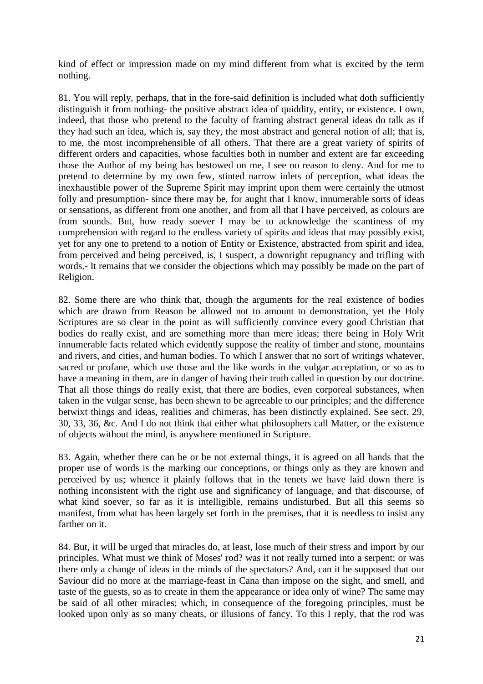kind of effect or impression made on my mind different from what is excited by the term nothing.

81. You will reply, perhaps, that in the fore-said definition is included what doth sufficiently distinguish it from nothing- the positive abstract idea of quiddity, entity, or existence. I own, indeed, that those who pretend to the faculty of framing abstract general ideas do talk as if they had such an idea, which is, say they, the most abstract and general notion of all; that is, to me, the most incomprehensible of all others. That there are a great variety of spirits of different orders and capacities, whose faculties both in number and extent are far exceeding those the Author of my being has bestowed on me, I see no reason to deny. And for me to pretend to determine by my own few, stinted narrow inlets of perception, what ideas the inexhaustible power of the Supreme Spirit may imprint upon them were certainly the utmost folly and presumption- since there may be, for aught that I know, innumerable sorts of ideas or sensations, as different from one another, and from all that I have perceived, as colours are from sounds. But, how ready soever I may be to acknowledge the scantiness of my comprehension with regard to the endless variety of spirits and ideas that may possibly exist, yet for any one to pretend to a notion of Entity or Existence, abstracted from spirit and idea, from perceived and being perceived, is, I suspect, a downright repugnancy and trifling with words.- It remains that we consider the objections which may possibly be made on the part of Religion.

82. Some there are who think that, though the arguments for the real existence of bodies which are drawn from Reason be allowed not to amount to demonstration, yet the Holy Scriptures are so clear in the point as will sufficiently convince every good Christian that bodies do really exist, and are something more than mere ideas; there being in Holy Writ innumerable facts related which evidently suppose the reality of timber and stone, mountains and rivers, and cities, and human bodies. To which I answer that no sort of writings whatever, sacred or profane, which use those and the like words in the vulgar acceptation, or so as to have a meaning in them, are in danger of having their truth called in question by our doctrine. That all those things do really exist, that there are bodies, even corporeal substances, when taken in the vulgar sense, has been shewn to be agreeable to our principles; and the difference betwixt things and ideas, realities and chimeras, has been distinctly explained. See sect. 29, 30, 33, 36, &c. And I do not think that either what philosophers call Matter, or the existence of objects without the mind, is anywhere mentioned in Scripture.

83. Again, whether there can be or be not external things, it is agreed on all hands that the proper use of words is the marking our conceptions, or things only as they are known and perceived by us; whence it plainly follows that in the tenets we have laid down there is nothing inconsistent with the right use and significancy of language, and that discourse, of what kind soever, so far as it is intelligible, remains undisturbed. But all this seems so manifest, from what has been largely set forth in the premises, that it is needless to insist any farther on it.

84. But, it will be urged that miracles do, at least, lose much of their stress and import by our principles. What must we think of Moses' rod? was it not really turned into a serpent; or was there only a change of ideas in the minds of the spectators? And, can it be supposed that our Saviour did no more at the marriage-feast in Cana than impose on the sight, and smell, and taste of the guests, so as to create in them the appearance or idea only of wine? The same may be said of all other miracles; which, in consequence of the foregoing principles, must be looked upon only as so many cheats, or illusions of fancy. To this I reply, that the rod was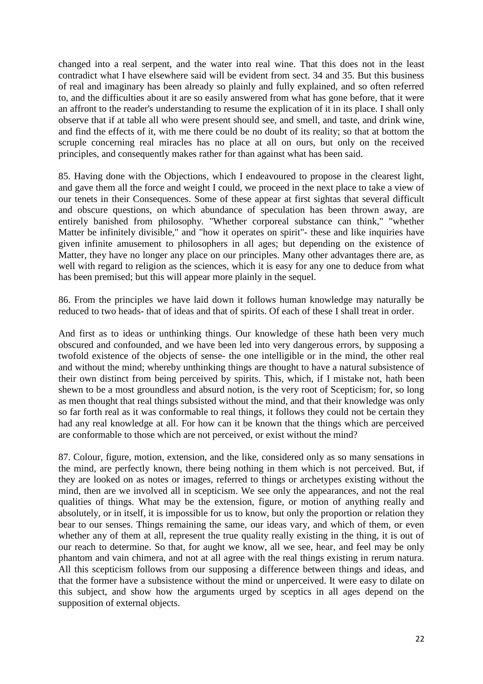changed into a real serpent, and the water into real wine. That this does not in the least contradict what I have elsewhere said will be evident from sect. 34 and 35. But this business of real and imaginary has been already so plainly and fully explained, and so often referred to, and the difficulties about it are so easily answered from what has gone before, that it were an affront to the reader's understanding to resume the explication of it in its place. I shall only observe that if at table all who were present should see, and smell, and taste, and drink wine, and find the effects of it, with me there could be no doubt of its reality; so that at bottom the scruple concerning real miracles has no place at all on ours, but only on the received principles, and consequently makes rather for than against what has been said.

85. Having done with the Objections, which I endeavoured to propose in the clearest light, and gave them all the force and weight I could, we proceed in the next place to take a view of our tenets in their Consequences. Some of these appear at first sightas that several difficult and obscure questions, on which abundance of speculation has been thrown away, are entirely banished from philosophy. "Whether corporeal substance can think," "whether Matter be infinitely divisible," and "how it operates on spirit"- these and like inquiries have given infinite amusement to philosophers in all ages; but depending on the existence of Matter, they have no longer any place on our principles. Many other advantages there are, as well with regard to religion as the sciences, which it is easy for any one to deduce from what has been premised; but this will appear more plainly in the sequel.

86. From the principles we have laid down it follows human knowledge may naturally be reduced to two heads- that of ideas and that of spirits. Of each of these I shall treat in order.

And first as to ideas or unthinking things. Our knowledge of these hath been very much obscured and confounded, and we have been led into very dangerous errors, by supposing a twofold existence of the objects of sense- the one intelligible or in the mind, the other real and without the mind; whereby unthinking things are thought to have a natural subsistence of their own distinct from being perceived by spirits. This, which, if I mistake not, hath been shewn to be a most groundless and absurd notion, is the very root of Scepticism; for, so long as men thought that real things subsisted without the mind, and that their knowledge was only so far forth real as it was conformable to real things, it follows they could not be certain they had any real knowledge at all. For how can it be known that the things which are perceived are conformable to those which are not perceived, or exist without the mind?

87. Colour, figure, motion, extension, and the like, considered only as so many sensations in the mind, are perfectly known, there being nothing in them which is not perceived. But, if they are looked on as notes or images, referred to things or archetypes existing without the mind, then are we involved all in scepticism. We see only the appearances, and not the real qualities of things. What may be the extension, figure, or motion of anything really and absolutely, or in itself, it is impossible for us to know, but only the proportion or relation they bear to our senses. Things remaining the same, our ideas vary, and which of them, or even whether any of them at all, represent the true quality really existing in the thing, it is out of our reach to determine. So that, for aught we know, all we see, hear, and feel may be only phantom and vain chimera, and not at all agree with the real things existing in rerum natura. All this scepticism follows from our supposing a difference between things and ideas, and that the former have a subsistence without the mind or unperceived. It were easy to dilate on this subject, and show how the arguments urged by sceptics in all ages depend on the supposition of external objects.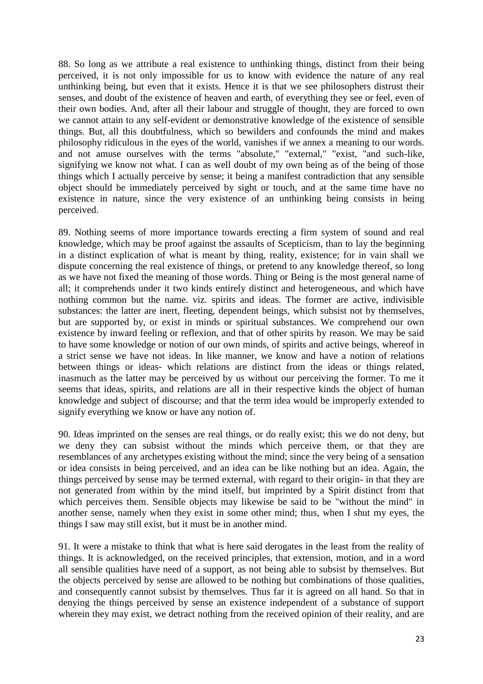88. So long as we attribute a real existence to unthinking things, distinct from their being perceived, it is not only impossible for us to know with evidence the nature of any real unthinking being, but even that it exists. Hence it is that we see philosophers distrust their senses, and doubt of the existence of heaven and earth, of everything they see or feel, even of their own bodies. And, after all their labour and struggle of thought, they are forced to own we cannot attain to any self-evident or demonstrative knowledge of the existence of sensible things. But, all this doubtfulness, which so bewilders and confounds the mind and makes philosophy ridiculous in the eyes of the world, vanishes if we annex a meaning to our words. and not amuse ourselves with the terms "absolute," "external," "exist, "and such-like, signifying we know not what. I can as well doubt of my own being as of the being of those things which I actually perceive by sense; it being a manifest contradiction that any sensible object should be immediately perceived by sight or touch, and at the same time have no existence in nature, since the very existence of an unthinking being consists in being perceived.

89. Nothing seems of more importance towards erecting a firm system of sound and real knowledge, which may be proof against the assaults of Scepticism, than to lay the beginning in a distinct explication of what is meant by thing, reality, existence; for in vain shall we dispute concerning the real existence of things, or pretend to any knowledge thereof, so long as we have not fixed the meaning of those words. Thing or Being is the most general name of all; it comprehends under it two kinds entirely distinct and heterogeneous, and which have nothing common but the name. viz. spirits and ideas. The former are active, indivisible substances: the latter are inert, fleeting, dependent beings, which subsist not by themselves, but are supported by, or exist in minds or spiritual substances. We comprehend our own existence by inward feeling or reflexion, and that of other spirits by reason. We may be said to have some knowledge or notion of our own minds, of spirits and active beings, whereof in a strict sense we have not ideas. In like manner, we know and have a notion of relations between things or ideas- which relations are distinct from the ideas or things related, inasmuch as the latter may be perceived by us without our perceiving the former. To me it seems that ideas, spirits, and relations are all in their respective kinds the object of human knowledge and subject of discourse; and that the term idea would be improperly extended to signify everything we know or have any notion of.

90. Ideas imprinted on the senses are real things, or do really exist; this we do not deny, but we deny they can subsist without the minds which perceive them, or that they are resemblances of any archetypes existing without the mind; since the very being of a sensation or idea consists in being perceived, and an idea can be like nothing but an idea. Again, the things perceived by sense may be termed external, with regard to their origin- in that they are not generated from within by the mind itself, but imprinted by a Spirit distinct from that which perceives them. Sensible objects may likewise be said to be "without the mind" in another sense, namely when they exist in some other mind; thus, when I shut my eyes, the things I saw may still exist, but it must be in another mind.

91. It were a mistake to think that what is here said derogates in the least from the reality of things. It is acknowledged, on the received principles, that extension, motion, and in a word all sensible qualities have need of a support, as not being able to subsist by themselves. But the objects perceived by sense are allowed to be nothing but combinations of those qualities, and consequently cannot subsist by themselves. Thus far it is agreed on all hand. So that in denying the things perceived by sense an existence independent of a substance of support wherein they may exist, we detract nothing from the received opinion of their reality, and are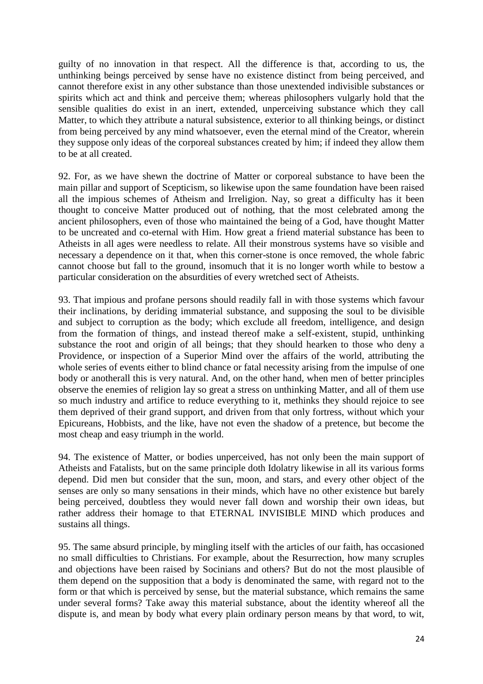guilty of no innovation in that respect. All the difference is that, according to us, the unthinking beings perceived by sense have no existence distinct from being perceived, and cannot therefore exist in any other substance than those unextended indivisible substances or spirits which act and think and perceive them; whereas philosophers vulgarly hold that the sensible qualities do exist in an inert, extended, unperceiving substance which they call Matter, to which they attribute a natural subsistence, exterior to all thinking beings, or distinct from being perceived by any mind whatsoever, even the eternal mind of the Creator, wherein they suppose only ideas of the corporeal substances created by him; if indeed they allow them to be at all created.

92. For, as we have shewn the doctrine of Matter or corporeal substance to have been the main pillar and support of Scepticism, so likewise upon the same foundation have been raised all the impious schemes of Atheism and Irreligion. Nay, so great a difficulty has it been thought to conceive Matter produced out of nothing, that the most celebrated among the ancient philosophers, even of those who maintained the being of a God, have thought Matter to be uncreated and co-eternal with Him. How great a friend material substance has been to Atheists in all ages were needless to relate. All their monstrous systems have so visible and necessary a dependence on it that, when this corner-stone is once removed, the whole fabric cannot choose but fall to the ground, insomuch that it is no longer worth while to bestow a particular consideration on the absurdities of every wretched sect of Atheists.

93. That impious and profane persons should readily fall in with those systems which favour their inclinations, by deriding immaterial substance, and supposing the soul to be divisible and subject to corruption as the body; which exclude all freedom, intelligence, and design from the formation of things, and instead thereof make a self-existent, stupid, unthinking substance the root and origin of all beings; that they should hearken to those who deny a Providence, or inspection of a Superior Mind over the affairs of the world, attributing the whole series of events either to blind chance or fatal necessity arising from the impulse of one body or anotherall this is very natural. And, on the other hand, when men of better principles observe the enemies of religion lay so great a stress on unthinking Matter, and all of them use so much industry and artifice to reduce everything to it, methinks they should rejoice to see them deprived of their grand support, and driven from that only fortress, without which your Epicureans, Hobbists, and the like, have not even the shadow of a pretence, but become the most cheap and easy triumph in the world.

94. The existence of Matter, or bodies unperceived, has not only been the main support of Atheists and Fatalists, but on the same principle doth Idolatry likewise in all its various forms depend. Did men but consider that the sun, moon, and stars, and every other object of the senses are only so many sensations in their minds, which have no other existence but barely being perceived, doubtless they would never fall down and worship their own ideas, but rather address their homage to that ETERNAL INVISIBLE MIND which produces and sustains all things.

95. The same absurd principle, by mingling itself with the articles of our faith, has occasioned no small difficulties to Christians. For example, about the Resurrection, how many scruples and objections have been raised by Socinians and others? But do not the most plausible of them depend on the supposition that a body is denominated the same, with regard not to the form or that which is perceived by sense, but the material substance, which remains the same under several forms? Take away this material substance, about the identity whereof all the dispute is, and mean by body what every plain ordinary person means by that word, to wit,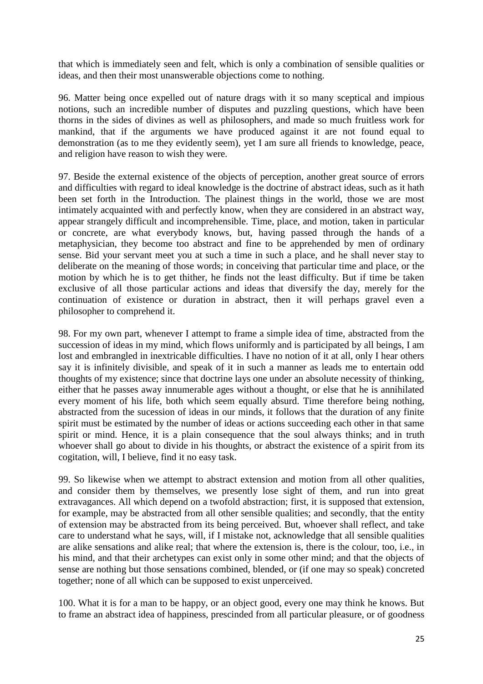that which is immediately seen and felt, which is only a combination of sensible qualities or ideas, and then their most unanswerable objections come to nothing.

96. Matter being once expelled out of nature drags with it so many sceptical and impious notions, such an incredible number of disputes and puzzling questions, which have been thorns in the sides of divines as well as philosophers, and made so much fruitless work for mankind, that if the arguments we have produced against it are not found equal to demonstration (as to me they evidently seem), yet I am sure all friends to knowledge, peace, and religion have reason to wish they were.

97. Beside the external existence of the objects of perception, another great source of errors and difficulties with regard to ideal knowledge is the doctrine of abstract ideas, such as it hath been set forth in the Introduction. The plainest things in the world, those we are most intimately acquainted with and perfectly know, when they are considered in an abstract way, appear strangely difficult and incomprehensible. Time, place, and motion, taken in particular or concrete, are what everybody knows, but, having passed through the hands of a metaphysician, they become too abstract and fine to be apprehended by men of ordinary sense. Bid your servant meet you at such a time in such a place, and he shall never stay to deliberate on the meaning of those words; in conceiving that particular time and place, or the motion by which he is to get thither, he finds not the least difficulty. But if time be taken exclusive of all those particular actions and ideas that diversify the day, merely for the continuation of existence or duration in abstract, then it will perhaps gravel even a philosopher to comprehend it.

98. For my own part, whenever I attempt to frame a simple idea of time, abstracted from the succession of ideas in my mind, which flows uniformly and is participated by all beings, I am lost and embrangled in inextricable difficulties. I have no notion of it at all, only I hear others say it is infinitely divisible, and speak of it in such a manner as leads me to entertain odd thoughts of my existence; since that doctrine lays one under an absolute necessity of thinking, either that he passes away innumerable ages without a thought, or else that he is annihilated every moment of his life, both which seem equally absurd. Time therefore being nothing, abstracted from the sucession of ideas in our minds, it follows that the duration of any finite spirit must be estimated by the number of ideas or actions succeeding each other in that same spirit or mind. Hence, it is a plain consequence that the soul always thinks; and in truth whoever shall go about to divide in his thoughts, or abstract the existence of a spirit from its cogitation, will, I believe, find it no easy task.

99. So likewise when we attempt to abstract extension and motion from all other qualities, and consider them by themselves, we presently lose sight of them, and run into great extravagances. All which depend on a twofold abstraction; first, it is supposed that extension, for example, may be abstracted from all other sensible qualities; and secondly, that the entity of extension may be abstracted from its being perceived. But, whoever shall reflect, and take care to understand what he says, will, if I mistake not, acknowledge that all sensible qualities are alike sensations and alike real; that where the extension is, there is the colour, too, i.e., in his mind, and that their archetypes can exist only in some other mind; and that the objects of sense are nothing but those sensations combined, blended, or (if one may so speak) concreted together; none of all which can be supposed to exist unperceived.

100. What it is for a man to be happy, or an object good, every one may think he knows. But to frame an abstract idea of happiness, prescinded from all particular pleasure, or of goodness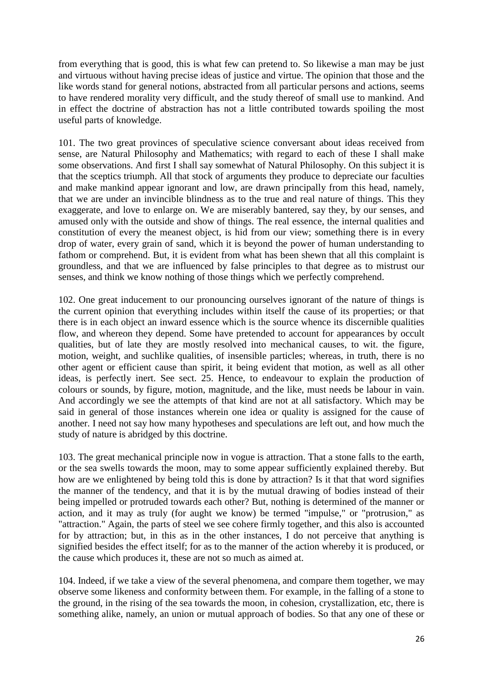from everything that is good, this is what few can pretend to. So likewise a man may be just and virtuous without having precise ideas of justice and virtue. The opinion that those and the like words stand for general notions, abstracted from all particular persons and actions, seems to have rendered morality very difficult, and the study thereof of small use to mankind. And in effect the doctrine of abstraction has not a little contributed towards spoiling the most useful parts of knowledge.

101. The two great provinces of speculative science conversant about ideas received from sense, are Natural Philosophy and Mathematics; with regard to each of these I shall make some observations. And first I shall say somewhat of Natural Philosophy. On this subject it is that the sceptics triumph. All that stock of arguments they produce to depreciate our faculties and make mankind appear ignorant and low, are drawn principally from this head, namely, that we are under an invincible blindness as to the true and real nature of things. This they exaggerate, and love to enlarge on. We are miserably bantered, say they, by our senses, and amused only with the outside and show of things. The real essence, the internal qualities and constitution of every the meanest object, is hid from our view; something there is in every drop of water, every grain of sand, which it is beyond the power of human understanding to fathom or comprehend. But, it is evident from what has been shewn that all this complaint is groundless, and that we are influenced by false principles to that degree as to mistrust our senses, and think we know nothing of those things which we perfectly comprehend.

102. One great inducement to our pronouncing ourselves ignorant of the nature of things is the current opinion that everything includes within itself the cause of its properties; or that there is in each object an inward essence which is the source whence its discernible qualities flow, and whereon they depend. Some have pretended to account for appearances by occult qualities, but of late they are mostly resolved into mechanical causes, to wit. the figure, motion, weight, and suchlike qualities, of insensible particles; whereas, in truth, there is no other agent or efficient cause than spirit, it being evident that motion, as well as all other ideas, is perfectly inert. See sect. 25. Hence, to endeavour to explain the production of colours or sounds, by figure, motion, magnitude, and the like, must needs be labour in vain. And accordingly we see the attempts of that kind are not at all satisfactory. Which may be said in general of those instances wherein one idea or quality is assigned for the cause of another. I need not say how many hypotheses and speculations are left out, and how much the study of nature is abridged by this doctrine.

103. The great mechanical principle now in vogue is attraction. That a stone falls to the earth, or the sea swells towards the moon, may to some appear sufficiently explained thereby. But how are we enlightened by being told this is done by attraction? Is it that that word signifies the manner of the tendency, and that it is by the mutual drawing of bodies instead of their being impelled or protruded towards each other? But, nothing is determined of the manner or action, and it may as truly (for aught we know) be termed "impulse," or "protrusion," as "attraction." Again, the parts of steel we see cohere firmly together, and this also is accounted for by attraction; but, in this as in the other instances, I do not perceive that anything is signified besides the effect itself; for as to the manner of the action whereby it is produced, or the cause which produces it, these are not so much as aimed at.

104. Indeed, if we take a view of the several phenomena, and compare them together, we may observe some likeness and conformity between them. For example, in the falling of a stone to the ground, in the rising of the sea towards the moon, in cohesion, crystallization, etc, there is something alike, namely, an union or mutual approach of bodies. So that any one of these or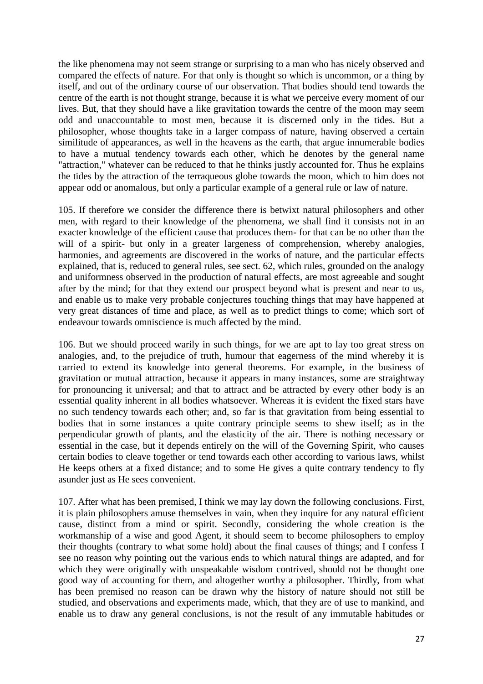the like phenomena may not seem strange or surprising to a man who has nicely observed and compared the effects of nature. For that only is thought so which is uncommon, or a thing by itself, and out of the ordinary course of our observation. That bodies should tend towards the centre of the earth is not thought strange, because it is what we perceive every moment of our lives. But, that they should have a like gravitation towards the centre of the moon may seem odd and unaccountable to most men, because it is discerned only in the tides. But a philosopher, whose thoughts take in a larger compass of nature, having observed a certain similitude of appearances, as well in the heavens as the earth, that argue innumerable bodies to have a mutual tendency towards each other, which he denotes by the general name "attraction," whatever can be reduced to that he thinks justly accounted for. Thus he explains the tides by the attraction of the terraqueous globe towards the moon, which to him does not appear odd or anomalous, but only a particular example of a general rule or law of nature.

105. If therefore we consider the difference there is betwixt natural philosophers and other men, with regard to their knowledge of the phenomena, we shall find it consists not in an exacter knowledge of the efficient cause that produces them- for that can be no other than the will of a spirit- but only in a greater largeness of comprehension, whereby analogies, harmonies, and agreements are discovered in the works of nature, and the particular effects explained, that is, reduced to general rules, see sect. 62, which rules, grounded on the analogy and uniformness observed in the production of natural effects, are most agreeable and sought after by the mind; for that they extend our prospect beyond what is present and near to us, and enable us to make very probable conjectures touching things that may have happened at very great distances of time and place, as well as to predict things to come; which sort of endeavour towards omniscience is much affected by the mind.

106. But we should proceed warily in such things, for we are apt to lay too great stress on analogies, and, to the prejudice of truth, humour that eagerness of the mind whereby it is carried to extend its knowledge into general theorems. For example, in the business of gravitation or mutual attraction, because it appears in many instances, some are straightway for pronouncing it universal; and that to attract and be attracted by every other body is an essential quality inherent in all bodies whatsoever. Whereas it is evident the fixed stars have no such tendency towards each other; and, so far is that gravitation from being essential to bodies that in some instances a quite contrary principle seems to shew itself; as in the perpendicular growth of plants, and the elasticity of the air. There is nothing necessary or essential in the case, but it depends entirely on the will of the Governing Spirit, who causes certain bodies to cleave together or tend towards each other according to various laws, whilst He keeps others at a fixed distance; and to some He gives a quite contrary tendency to fly asunder just as He sees convenient.

107. After what has been premised, I think we may lay down the following conclusions. First, it is plain philosophers amuse themselves in vain, when they inquire for any natural efficient cause, distinct from a mind or spirit. Secondly, considering the whole creation is the workmanship of a wise and good Agent, it should seem to become philosophers to employ their thoughts (contrary to what some hold) about the final causes of things; and I confess I see no reason why pointing out the various ends to which natural things are adapted, and for which they were originally with unspeakable wisdom contrived, should not be thought one good way of accounting for them, and altogether worthy a philosopher. Thirdly, from what has been premised no reason can be drawn why the history of nature should not still be studied, and observations and experiments made, which, that they are of use to mankind, and enable us to draw any general conclusions, is not the result of any immutable habitudes or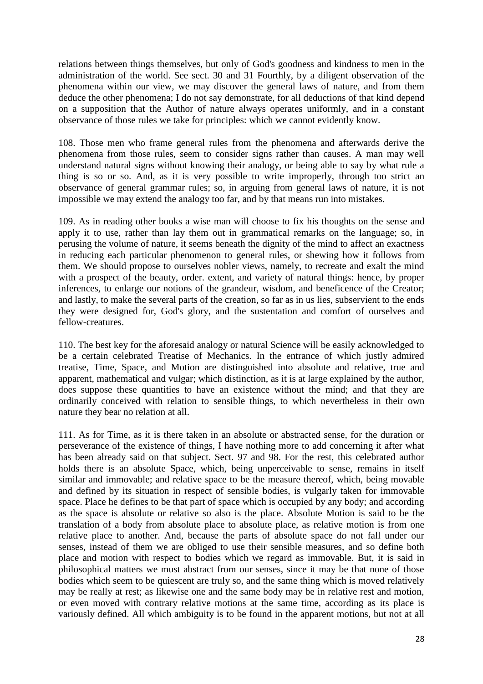relations between things themselves, but only of God's goodness and kindness to men in the administration of the world. See sect. 30 and 31 Fourthly, by a diligent observation of the phenomena within our view, we may discover the general laws of nature, and from them deduce the other phenomena; I do not say demonstrate, for all deductions of that kind depend on a supposition that the Author of nature always operates uniformly, and in a constant observance of those rules we take for principles: which we cannot evidently know.

108. Those men who frame general rules from the phenomena and afterwards derive the phenomena from those rules, seem to consider signs rather than causes. A man may well understand natural signs without knowing their analogy, or being able to say by what rule a thing is so or so. And, as it is very possible to write improperly, through too strict an observance of general grammar rules; so, in arguing from general laws of nature, it is not impossible we may extend the analogy too far, and by that means run into mistakes.

109. As in reading other books a wise man will choose to fix his thoughts on the sense and apply it to use, rather than lay them out in grammatical remarks on the language; so, in perusing the volume of nature, it seems beneath the dignity of the mind to affect an exactness in reducing each particular phenomenon to general rules, or shewing how it follows from them. We should propose to ourselves nobler views, namely, to recreate and exalt the mind with a prospect of the beauty, order. extent, and variety of natural things: hence, by proper inferences, to enlarge our notions of the grandeur, wisdom, and beneficence of the Creator; and lastly, to make the several parts of the creation, so far as in us lies, subservient to the ends they were designed for, God's glory, and the sustentation and comfort of ourselves and fellow-creatures.

110. The best key for the aforesaid analogy or natural Science will be easily acknowledged to be a certain celebrated Treatise of Mechanics. In the entrance of which justly admired treatise, Time, Space, and Motion are distinguished into absolute and relative, true and apparent, mathematical and vulgar; which distinction, as it is at large explained by the author, does suppose these quantities to have an existence without the mind; and that they are ordinarily conceived with relation to sensible things, to which nevertheless in their own nature they bear no relation at all.

111. As for Time, as it is there taken in an absolute or abstracted sense, for the duration or perseverance of the existence of things, I have nothing more to add concerning it after what has been already said on that subject. Sect. 97 and 98. For the rest, this celebrated author holds there is an absolute Space, which, being unperceivable to sense, remains in itself similar and immovable; and relative space to be the measure thereof, which, being movable and defined by its situation in respect of sensible bodies, is vulgarly taken for immovable space. Place he defines to be that part of space which is occupied by any body; and according as the space is absolute or relative so also is the place. Absolute Motion is said to be the translation of a body from absolute place to absolute place, as relative motion is from one relative place to another. And, because the parts of absolute space do not fall under our senses, instead of them we are obliged to use their sensible measures, and so define both place and motion with respect to bodies which we regard as immovable. But, it is said in philosophical matters we must abstract from our senses, since it may be that none of those bodies which seem to be quiescent are truly so, and the same thing which is moved relatively may be really at rest; as likewise one and the same body may be in relative rest and motion, or even moved with contrary relative motions at the same time, according as its place is variously defined. All which ambiguity is to be found in the apparent motions, but not at all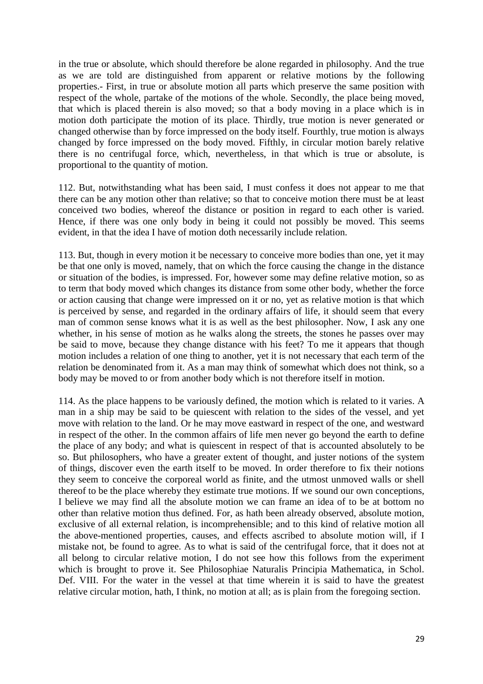in the true or absolute, which should therefore be alone regarded in philosophy. And the true as we are told are distinguished from apparent or relative motions by the following properties.- First, in true or absolute motion all parts which preserve the same position with respect of the whole, partake of the motions of the whole. Secondly, the place being moved, that which is placed therein is also moved; so that a body moving in a place which is in motion doth participate the motion of its place. Thirdly, true motion is never generated or changed otherwise than by force impressed on the body itself. Fourthly, true motion is always changed by force impressed on the body moved. Fifthly, in circular motion barely relative there is no centrifugal force, which, nevertheless, in that which is true or absolute, is proportional to the quantity of motion.

112. But, notwithstanding what has been said, I must confess it does not appear to me that there can be any motion other than relative; so that to conceive motion there must be at least conceived two bodies, whereof the distance or position in regard to each other is varied. Hence, if there was one only body in being it could not possibly be moved. This seems evident, in that the idea I have of motion doth necessarily include relation.

113. But, though in every motion it be necessary to conceive more bodies than one, yet it may be that one only is moved, namely, that on which the force causing the change in the distance or situation of the bodies, is impressed. For, however some may define relative motion, so as to term that body moved which changes its distance from some other body, whether the force or action causing that change were impressed on it or no, yet as relative motion is that which is perceived by sense, and regarded in the ordinary affairs of life, it should seem that every man of common sense knows what it is as well as the best philosopher. Now, I ask any one whether, in his sense of motion as he walks along the streets, the stones he passes over may be said to move, because they change distance with his feet? To me it appears that though motion includes a relation of one thing to another, yet it is not necessary that each term of the relation be denominated from it. As a man may think of somewhat which does not think, so a body may be moved to or from another body which is not therefore itself in motion.

114. As the place happens to be variously defined, the motion which is related to it varies. A man in a ship may be said to be quiescent with relation to the sides of the vessel, and yet move with relation to the land. Or he may move eastward in respect of the one, and westward in respect of the other. In the common affairs of life men never go beyond the earth to define the place of any body; and what is quiescent in respect of that is accounted absolutely to be so. But philosophers, who have a greater extent of thought, and juster notions of the system of things, discover even the earth itself to be moved. In order therefore to fix their notions they seem to conceive the corporeal world as finite, and the utmost unmoved walls or shell thereof to be the place whereby they estimate true motions. If we sound our own conceptions, I believe we may find all the absolute motion we can frame an idea of to be at bottom no other than relative motion thus defined. For, as hath been already observed, absolute motion, exclusive of all external relation, is incomprehensible; and to this kind of relative motion all the above-mentioned properties, causes, and effects ascribed to absolute motion will, if I mistake not, be found to agree. As to what is said of the centrifugal force, that it does not at all belong to circular relative motion, I do not see how this follows from the experiment which is brought to prove it. See Philosophiae Naturalis Principia Mathematica, in Schol. Def. VIII. For the water in the vessel at that time wherein it is said to have the greatest relative circular motion, hath, I think, no motion at all; as is plain from the foregoing section.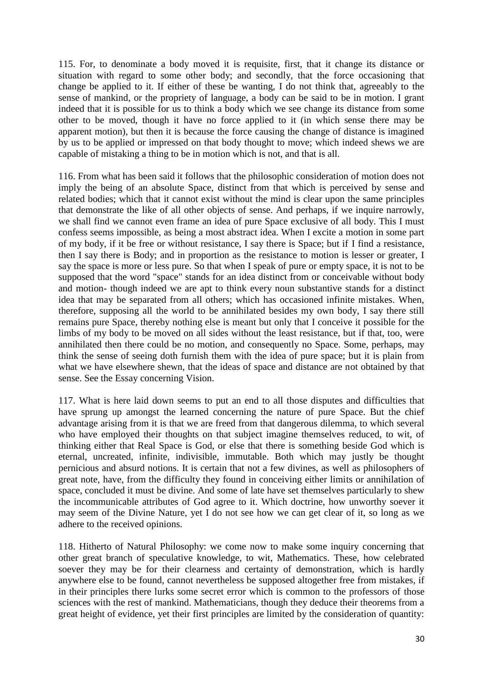115. For, to denominate a body moved it is requisite, first, that it change its distance or situation with regard to some other body; and secondly, that the force occasioning that change be applied to it. If either of these be wanting, I do not think that, agreeably to the sense of mankind, or the propriety of language, a body can be said to be in motion. I grant indeed that it is possible for us to think a body which we see change its distance from some other to be moved, though it have no force applied to it (in which sense there may be apparent motion), but then it is because the force causing the change of distance is imagined by us to be applied or impressed on that body thought to move; which indeed shews we are capable of mistaking a thing to be in motion which is not, and that is all.

116. From what has been said it follows that the philosophic consideration of motion does not imply the being of an absolute Space, distinct from that which is perceived by sense and related bodies; which that it cannot exist without the mind is clear upon the same principles that demonstrate the like of all other objects of sense. And perhaps, if we inquire narrowly, we shall find we cannot even frame an idea of pure Space exclusive of all body. This I must confess seems impossible, as being a most abstract idea. When I excite a motion in some part of my body, if it be free or without resistance, I say there is Space; but if I find a resistance, then I say there is Body; and in proportion as the resistance to motion is lesser or greater, I say the space is more or less pure. So that when I speak of pure or empty space, it is not to be supposed that the word "space" stands for an idea distinct from or conceivable without body and motion- though indeed we are apt to think every noun substantive stands for a distinct idea that may be separated from all others; which has occasioned infinite mistakes. When, therefore, supposing all the world to be annihilated besides my own body, I say there still remains pure Space, thereby nothing else is meant but only that I conceive it possible for the limbs of my body to be moved on all sides without the least resistance, but if that, too, were annihilated then there could be no motion, and consequently no Space. Some, perhaps, may think the sense of seeing doth furnish them with the idea of pure space; but it is plain from what we have elsewhere shewn, that the ideas of space and distance are not obtained by that sense. See the Essay concerning Vision.

117. What is here laid down seems to put an end to all those disputes and difficulties that have sprung up amongst the learned concerning the nature of pure Space. But the chief advantage arising from it is that we are freed from that dangerous dilemma, to which several who have employed their thoughts on that subject imagine themselves reduced, to wit, of thinking either that Real Space is God, or else that there is something beside God which is eternal, uncreated, infinite, indivisible, immutable. Both which may justly be thought pernicious and absurd notions. It is certain that not a few divines, as well as philosophers of great note, have, from the difficulty they found in conceiving either limits or annihilation of space, concluded it must be divine. And some of late have set themselves particularly to shew the incommunicable attributes of God agree to it. Which doctrine, how unworthy soever it may seem of the Divine Nature, yet I do not see how we can get clear of it, so long as we adhere to the received opinions.

118. Hitherto of Natural Philosophy: we come now to make some inquiry concerning that other great branch of speculative knowledge, to wit, Mathematics. These, how celebrated soever they may be for their clearness and certainty of demonstration, which is hardly anywhere else to be found, cannot nevertheless be supposed altogether free from mistakes, if in their principles there lurks some secret error which is common to the professors of those sciences with the rest of mankind. Mathematicians, though they deduce their theorems from a great height of evidence, yet their first principles are limited by the consideration of quantity: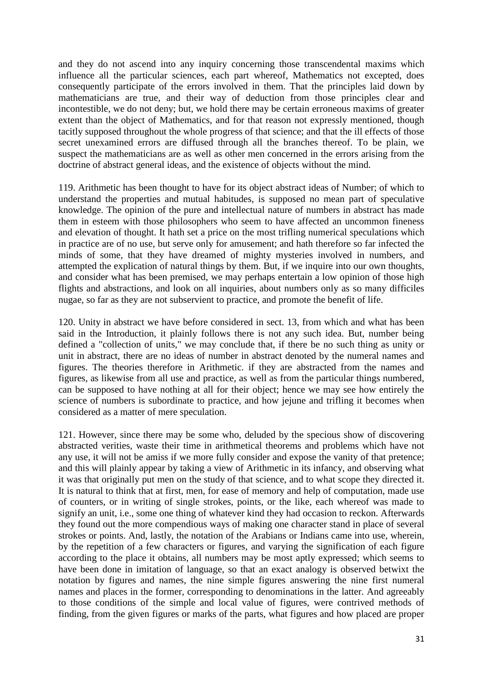and they do not ascend into any inquiry concerning those transcendental maxims which influence all the particular sciences, each part whereof, Mathematics not excepted, does consequently participate of the errors involved in them. That the principles laid down by mathematicians are true, and their way of deduction from those principles clear and incontestible, we do not deny; but, we hold there may be certain erroneous maxims of greater extent than the object of Mathematics, and for that reason not expressly mentioned, though tacitly supposed throughout the whole progress of that science; and that the ill effects of those secret unexamined errors are diffused through all the branches thereof. To be plain, we suspect the mathematicians are as well as other men concerned in the errors arising from the doctrine of abstract general ideas, and the existence of objects without the mind.

119. Arithmetic has been thought to have for its object abstract ideas of Number; of which to understand the properties and mutual habitudes, is supposed no mean part of speculative knowledge. The opinion of the pure and intellectual nature of numbers in abstract has made them in esteem with those philosophers who seem to have affected an uncommon fineness and elevation of thought. It hath set a price on the most trifling numerical speculations which in practice are of no use, but serve only for amusement; and hath therefore so far infected the minds of some, that they have dreamed of mighty mysteries involved in numbers, and attempted the explication of natural things by them. But, if we inquire into our own thoughts, and consider what has been premised, we may perhaps entertain a low opinion of those high flights and abstractions, and look on all inquiries, about numbers only as so many difficiles nugae, so far as they are not subservient to practice, and promote the benefit of life.

120. Unity in abstract we have before considered in sect. 13, from which and what has been said in the Introduction, it plainly follows there is not any such idea. But, number being defined a "collection of units," we may conclude that, if there be no such thing as unity or unit in abstract, there are no ideas of number in abstract denoted by the numeral names and figures. The theories therefore in Arithmetic. if they are abstracted from the names and figures, as likewise from all use and practice, as well as from the particular things numbered, can be supposed to have nothing at all for their object; hence we may see how entirely the science of numbers is subordinate to practice, and how jejune and trifling it becomes when considered as a matter of mere speculation.

121. However, since there may be some who, deluded by the specious show of discovering abstracted verities, waste their time in arithmetical theorems and problems which have not any use, it will not be amiss if we more fully consider and expose the vanity of that pretence; and this will plainly appear by taking a view of Arithmetic in its infancy, and observing what it was that originally put men on the study of that science, and to what scope they directed it. It is natural to think that at first, men, for ease of memory and help of computation, made use of counters, or in writing of single strokes, points, or the like, each whereof was made to signify an unit, i.e., some one thing of whatever kind they had occasion to reckon. Afterwards they found out the more compendious ways of making one character stand in place of several strokes or points. And, lastly, the notation of the Arabians or Indians came into use, wherein, by the repetition of a few characters or figures, and varying the signification of each figure according to the place it obtains, all numbers may be most aptly expressed; which seems to have been done in imitation of language, so that an exact analogy is observed betwixt the notation by figures and names, the nine simple figures answering the nine first numeral names and places in the former, corresponding to denominations in the latter. And agreeably to those conditions of the simple and local value of figures, were contrived methods of finding, from the given figures or marks of the parts, what figures and how placed are proper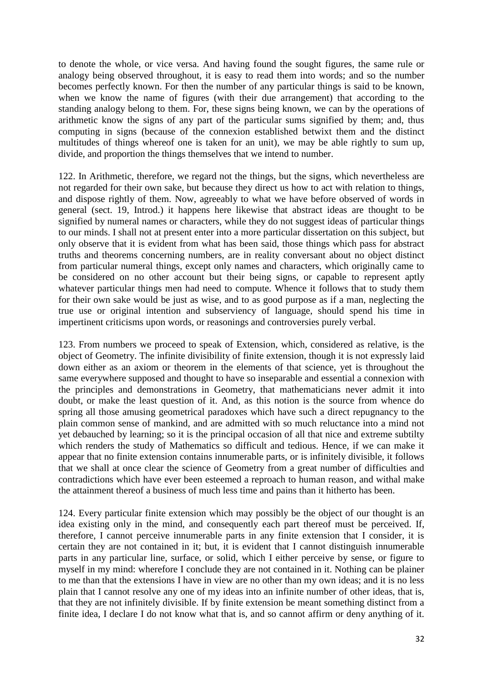to denote the whole, or vice versa. And having found the sought figures, the same rule or analogy being observed throughout, it is easy to read them into words; and so the number becomes perfectly known. For then the number of any particular things is said to be known, when we know the name of figures (with their due arrangement) that according to the standing analogy belong to them. For, these signs being known, we can by the operations of arithmetic know the signs of any part of the particular sums signified by them; and, thus computing in signs (because of the connexion established betwixt them and the distinct multitudes of things whereof one is taken for an unit), we may be able rightly to sum up, divide, and proportion the things themselves that we intend to number.

122. In Arithmetic, therefore, we regard not the things, but the signs, which nevertheless are not regarded for their own sake, but because they direct us how to act with relation to things, and dispose rightly of them. Now, agreeably to what we have before observed of words in general (sect. 19, Introd.) it happens here likewise that abstract ideas are thought to be signified by numeral names or characters, while they do not suggest ideas of particular things to our minds. I shall not at present enter into a more particular dissertation on this subject, but only observe that it is evident from what has been said, those things which pass for abstract truths and theorems concerning numbers, are in reality conversant about no object distinct from particular numeral things, except only names and characters, which originally came to be considered on no other account but their being signs, or capable to represent aptly whatever particular things men had need to compute. Whence it follows that to study them for their own sake would be just as wise, and to as good purpose as if a man, neglecting the true use or original intention and subserviency of language, should spend his time in impertinent criticisms upon words, or reasonings and controversies purely verbal.

123. From numbers we proceed to speak of Extension, which, considered as relative, is the object of Geometry. The infinite divisibility of finite extension, though it is not expressly laid down either as an axiom or theorem in the elements of that science, yet is throughout the same everywhere supposed and thought to have so inseparable and essential a connexion with the principles and demonstrations in Geometry, that mathematicians never admit it into doubt, or make the least question of it. And, as this notion is the source from whence do spring all those amusing geometrical paradoxes which have such a direct repugnancy to the plain common sense of mankind, and are admitted with so much reluctance into a mind not yet debauched by learning; so it is the principal occasion of all that nice and extreme subtilty which renders the study of Mathematics so difficult and tedious. Hence, if we can make it appear that no finite extension contains innumerable parts, or is infinitely divisible, it follows that we shall at once clear the science of Geometry from a great number of difficulties and contradictions which have ever been esteemed a reproach to human reason, and withal make the attainment thereof a business of much less time and pains than it hitherto has been.

124. Every particular finite extension which may possibly be the object of our thought is an idea existing only in the mind, and consequently each part thereof must be perceived. If, therefore, I cannot perceive innumerable parts in any finite extension that I consider, it is certain they are not contained in it; but, it is evident that I cannot distinguish innumerable parts in any particular line, surface, or solid, which I either perceive by sense, or figure to myself in my mind: wherefore I conclude they are not contained in it. Nothing can be plainer to me than that the extensions I have in view are no other than my own ideas; and it is no less plain that I cannot resolve any one of my ideas into an infinite number of other ideas, that is, that they are not infinitely divisible. If by finite extension be meant something distinct from a finite idea, I declare I do not know what that is, and so cannot affirm or deny anything of it.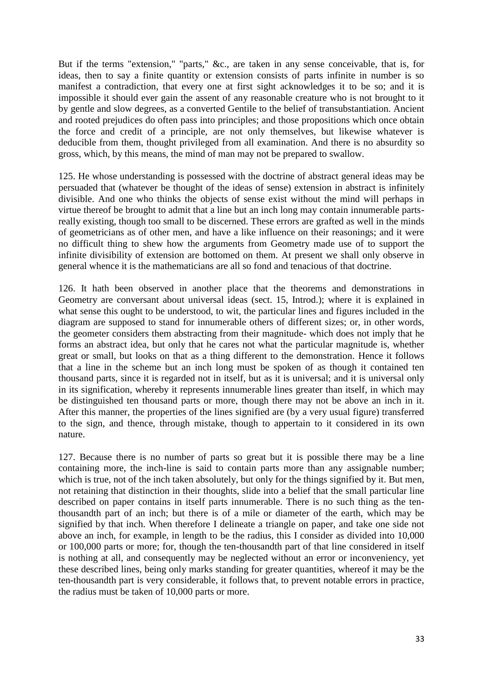But if the terms "extension," "parts," &c., are taken in any sense conceivable, that is, for ideas, then to say a finite quantity or extension consists of parts infinite in number is so manifest a contradiction, that every one at first sight acknowledges it to be so; and it is impossible it should ever gain the assent of any reasonable creature who is not brought to it by gentle and slow degrees, as a converted Gentile to the belief of transubstantiation. Ancient and rooted prejudices do often pass into principles; and those propositions which once obtain the force and credit of a principle, are not only themselves, but likewise whatever is deducible from them, thought privileged from all examination. And there is no absurdity so gross, which, by this means, the mind of man may not be prepared to swallow.

125. He whose understanding is possessed with the doctrine of abstract general ideas may be persuaded that (whatever be thought of the ideas of sense) extension in abstract is infinitely divisible. And one who thinks the objects of sense exist without the mind will perhaps in virtue thereof be brought to admit that a line but an inch long may contain innumerable partsreally existing, though too small to be discerned. These errors are grafted as well in the minds of geometricians as of other men, and have a like influence on their reasonings; and it were no difficult thing to shew how the arguments from Geometry made use of to support the infinite divisibility of extension are bottomed on them. At present we shall only observe in general whence it is the mathematicians are all so fond and tenacious of that doctrine.

126. It hath been observed in another place that the theorems and demonstrations in Geometry are conversant about universal ideas (sect. 15, Introd.); where it is explained in what sense this ought to be understood, to wit, the particular lines and figures included in the diagram are supposed to stand for innumerable others of different sizes; or, in other words, the geometer considers them abstracting from their magnitude- which does not imply that he forms an abstract idea, but only that he cares not what the particular magnitude is, whether great or small, but looks on that as a thing different to the demonstration. Hence it follows that a line in the scheme but an inch long must be spoken of as though it contained ten thousand parts, since it is regarded not in itself, but as it is universal; and it is universal only in its signification, whereby it represents innumerable lines greater than itself, in which may be distinguished ten thousand parts or more, though there may not be above an inch in it. After this manner, the properties of the lines signified are (by a very usual figure) transferred to the sign, and thence, through mistake, though to appertain to it considered in its own nature.

127. Because there is no number of parts so great but it is possible there may be a line containing more, the inch-line is said to contain parts more than any assignable number; which is true, not of the inch taken absolutely, but only for the things signified by it. But men, not retaining that distinction in their thoughts, slide into a belief that the small particular line described on paper contains in itself parts innumerable. There is no such thing as the tenthousandth part of an inch; but there is of a mile or diameter of the earth, which may be signified by that inch. When therefore I delineate a triangle on paper, and take one side not above an inch, for example, in length to be the radius, this I consider as divided into 10,000 or 100,000 parts or more; for, though the ten-thousandth part of that line considered in itself is nothing at all, and consequently may be neglected without an error or inconveniency, yet these described lines, being only marks standing for greater quantities, whereof it may be the ten-thousandth part is very considerable, it follows that, to prevent notable errors in practice, the radius must be taken of 10,000 parts or more.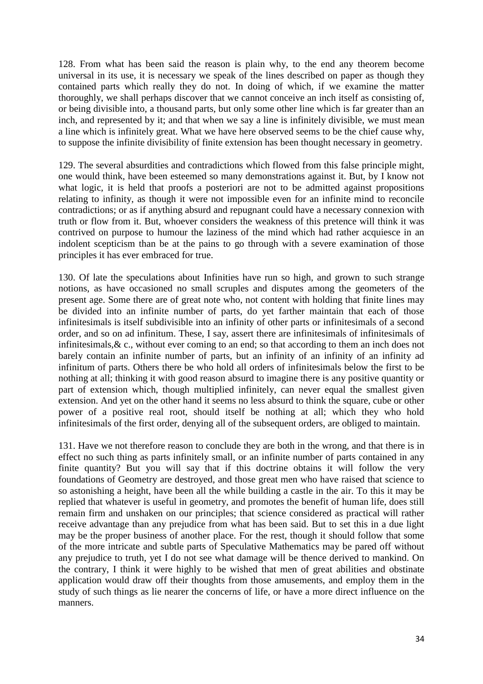128. From what has been said the reason is plain why, to the end any theorem become universal in its use, it is necessary we speak of the lines described on paper as though they contained parts which really they do not. In doing of which, if we examine the matter thoroughly, we shall perhaps discover that we cannot conceive an inch itself as consisting of, or being divisible into, a thousand parts, but only some other line which is far greater than an inch, and represented by it; and that when we say a line is infinitely divisible, we must mean a line which is infinitely great. What we have here observed seems to be the chief cause why, to suppose the infinite divisibility of finite extension has been thought necessary in geometry.

129. The several absurdities and contradictions which flowed from this false principle might, one would think, have been esteemed so many demonstrations against it. But, by I know not what logic, it is held that proofs a posteriori are not to be admitted against propositions relating to infinity, as though it were not impossible even for an infinite mind to reconcile contradictions; or as if anything absurd and repugnant could have a necessary connexion with truth or flow from it. But, whoever considers the weakness of this pretence will think it was contrived on purpose to humour the laziness of the mind which had rather acquiesce in an indolent scepticism than be at the pains to go through with a severe examination of those principles it has ever embraced for true.

130. Of late the speculations about Infinities have run so high, and grown to such strange notions, as have occasioned no small scruples and disputes among the geometers of the present age. Some there are of great note who, not content with holding that finite lines may be divided into an infinite number of parts, do yet farther maintain that each of those infinitesimals is itself subdivisible into an infinity of other parts or infinitesimals of a second order, and so on ad infinitum. These, I say, assert there are infinitesimals of infinitesimals of infinitesimals,& c., without ever coming to an end; so that according to them an inch does not barely contain an infinite number of parts, but an infinity of an infinity of an infinity ad infinitum of parts. Others there be who hold all orders of infinitesimals below the first to be nothing at all; thinking it with good reason absurd to imagine there is any positive quantity or part of extension which, though multiplied infinitely, can never equal the smallest given extension. And yet on the other hand it seems no less absurd to think the square, cube or other power of a positive real root, should itself be nothing at all; which they who hold infinitesimals of the first order, denying all of the subsequent orders, are obliged to maintain.

131. Have we not therefore reason to conclude they are both in the wrong, and that there is in effect no such thing as parts infinitely small, or an infinite number of parts contained in any finite quantity? But you will say that if this doctrine obtains it will follow the very foundations of Geometry are destroyed, and those great men who have raised that science to so astonishing a height, have been all the while building a castle in the air. To this it may be replied that whatever is useful in geometry, and promotes the benefit of human life, does still remain firm and unshaken on our principles; that science considered as practical will rather receive advantage than any prejudice from what has been said. But to set this in a due light may be the proper business of another place. For the rest, though it should follow that some of the more intricate and subtle parts of Speculative Mathematics may be pared off without any prejudice to truth, yet I do not see what damage will be thence derived to mankind. On the contrary, I think it were highly to be wished that men of great abilities and obstinate application would draw off their thoughts from those amusements, and employ them in the study of such things as lie nearer the concerns of life, or have a more direct influence on the manners.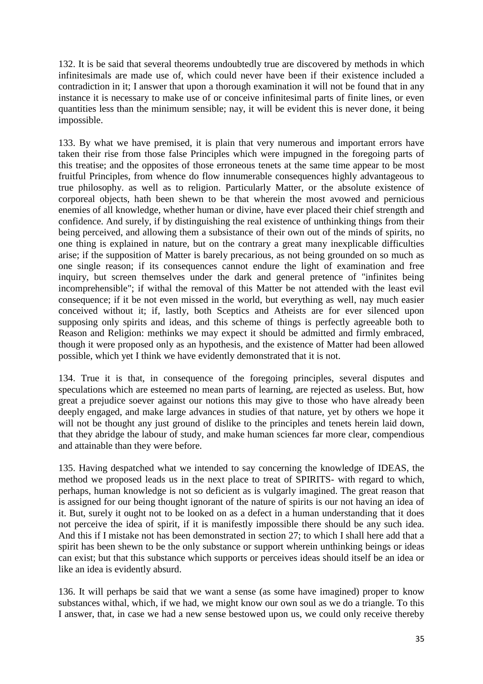132. It is be said that several theorems undoubtedly true are discovered by methods in which infinitesimals are made use of, which could never have been if their existence included a contradiction in it; I answer that upon a thorough examination it will not be found that in any instance it is necessary to make use of or conceive infinitesimal parts of finite lines, or even quantities less than the minimum sensible; nay, it will be evident this is never done, it being impossible.

133. By what we have premised, it is plain that very numerous and important errors have taken their rise from those false Principles which were impugned in the foregoing parts of this treatise; and the opposites of those erroneous tenets at the same time appear to be most fruitful Principles, from whence do flow innumerable consequences highly advantageous to true philosophy. as well as to religion. Particularly Matter, or the absolute existence of corporeal objects, hath been shewn to be that wherein the most avowed and pernicious enemies of all knowledge, whether human or divine, have ever placed their chief strength and confidence. And surely, if by distinguishing the real existence of unthinking things from their being perceived, and allowing them a subsistance of their own out of the minds of spirits, no one thing is explained in nature, but on the contrary a great many inexplicable difficulties arise; if the supposition of Matter is barely precarious, as not being grounded on so much as one single reason; if its consequences cannot endure the light of examination and free inquiry, but screen themselves under the dark and general pretence of "infinites being incomprehensible"; if withal the removal of this Matter be not attended with the least evil consequence; if it be not even missed in the world, but everything as well, nay much easier conceived without it; if, lastly, both Sceptics and Atheists are for ever silenced upon supposing only spirits and ideas, and this scheme of things is perfectly agreeable both to Reason and Religion: methinks we may expect it should be admitted and firmly embraced, though it were proposed only as an hypothesis, and the existence of Matter had been allowed possible, which yet I think we have evidently demonstrated that it is not.

134. True it is that, in consequence of the foregoing principles, several disputes and speculations which are esteemed no mean parts of learning, are rejected as useless. But, how great a prejudice soever against our notions this may give to those who have already been deeply engaged, and make large advances in studies of that nature, yet by others we hope it will not be thought any just ground of dislike to the principles and tenets herein laid down, that they abridge the labour of study, and make human sciences far more clear, compendious and attainable than they were before.

135. Having despatched what we intended to say concerning the knowledge of IDEAS, the method we proposed leads us in the next place to treat of SPIRITS- with regard to which, perhaps, human knowledge is not so deficient as is vulgarly imagined. The great reason that is assigned for our being thought ignorant of the nature of spirits is our not having an idea of it. But, surely it ought not to be looked on as a defect in a human understanding that it does not perceive the idea of spirit, if it is manifestly impossible there should be any such idea. And this if I mistake not has been demonstrated in section 27; to which I shall here add that a spirit has been shewn to be the only substance or support wherein unthinking beings or ideas can exist; but that this substance which supports or perceives ideas should itself be an idea or like an idea is evidently absurd.

136. It will perhaps be said that we want a sense (as some have imagined) proper to know substances withal, which, if we had, we might know our own soul as we do a triangle. To this I answer, that, in case we had a new sense bestowed upon us, we could only receive thereby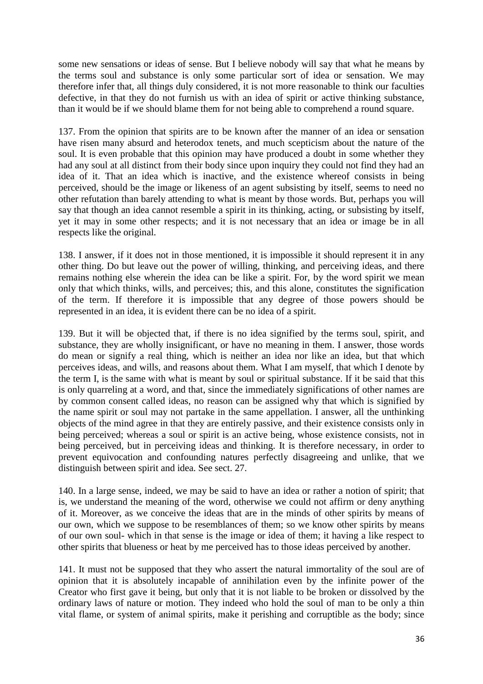some new sensations or ideas of sense. But I believe nobody will say that what he means by the terms soul and substance is only some particular sort of idea or sensation. We may therefore infer that, all things duly considered, it is not more reasonable to think our faculties defective, in that they do not furnish us with an idea of spirit or active thinking substance, than it would be if we should blame them for not being able to comprehend a round square.

137. From the opinion that spirits are to be known after the manner of an idea or sensation have risen many absurd and heterodox tenets, and much scepticism about the nature of the soul. It is even probable that this opinion may have produced a doubt in some whether they had any soul at all distinct from their body since upon inquiry they could not find they had an idea of it. That an idea which is inactive, and the existence whereof consists in being perceived, should be the image or likeness of an agent subsisting by itself, seems to need no other refutation than barely attending to what is meant by those words. But, perhaps you will say that though an idea cannot resemble a spirit in its thinking, acting, or subsisting by itself, yet it may in some other respects; and it is not necessary that an idea or image be in all respects like the original.

138. I answer, if it does not in those mentioned, it is impossible it should represent it in any other thing. Do but leave out the power of willing, thinking, and perceiving ideas, and there remains nothing else wherein the idea can be like a spirit. For, by the word spirit we mean only that which thinks, wills, and perceives; this, and this alone, constitutes the signification of the term. If therefore it is impossible that any degree of those powers should be represented in an idea, it is evident there can be no idea of a spirit.

139. But it will be objected that, if there is no idea signified by the terms soul, spirit, and substance, they are wholly insignificant, or have no meaning in them. I answer, those words do mean or signify a real thing, which is neither an idea nor like an idea, but that which perceives ideas, and wills, and reasons about them. What I am myself, that which I denote by the term I, is the same with what is meant by soul or spiritual substance. If it be said that this is only quarreling at a word, and that, since the immediately significations of other names are by common consent called ideas, no reason can be assigned why that which is signified by the name spirit or soul may not partake in the same appellation. I answer, all the unthinking objects of the mind agree in that they are entirely passive, and their existence consists only in being perceived; whereas a soul or spirit is an active being, whose existence consists, not in being perceived, but in perceiving ideas and thinking. It is therefore necessary, in order to prevent equivocation and confounding natures perfectly disagreeing and unlike, that we distinguish between spirit and idea. See sect. 27.

140. In a large sense, indeed, we may be said to have an idea or rather a notion of spirit; that is, we understand the meaning of the word, otherwise we could not affirm or deny anything of it. Moreover, as we conceive the ideas that are in the minds of other spirits by means of our own, which we suppose to be resemblances of them; so we know other spirits by means of our own soul- which in that sense is the image or idea of them; it having a like respect to other spirits that blueness or heat by me perceived has to those ideas perceived by another.

141. It must not be supposed that they who assert the natural immortality of the soul are of opinion that it is absolutely incapable of annihilation even by the infinite power of the Creator who first gave it being, but only that it is not liable to be broken or dissolved by the ordinary laws of nature or motion. They indeed who hold the soul of man to be only a thin vital flame, or system of animal spirits, make it perishing and corruptible as the body; since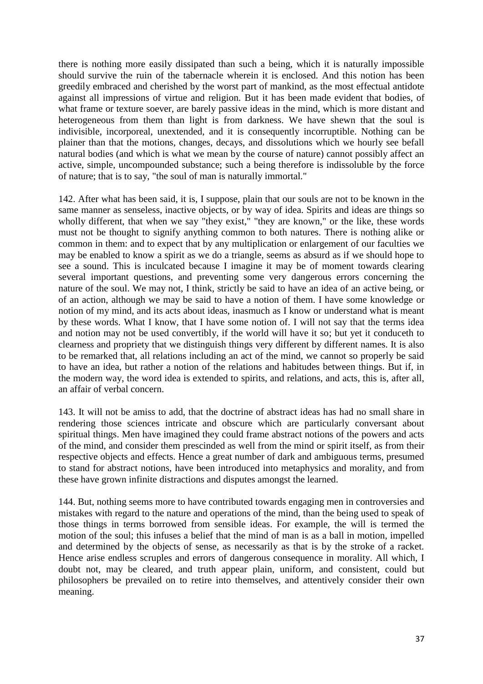there is nothing more easily dissipated than such a being, which it is naturally impossible should survive the ruin of the tabernacle wherein it is enclosed. And this notion has been greedily embraced and cherished by the worst part of mankind, as the most effectual antidote against all impressions of virtue and religion. But it has been made evident that bodies, of what frame or texture soever, are barely passive ideas in the mind, which is more distant and heterogeneous from them than light is from darkness. We have shewn that the soul is indivisible, incorporeal, unextended, and it is consequently incorruptible. Nothing can be plainer than that the motions, changes, decays, and dissolutions which we hourly see befall natural bodies (and which is what we mean by the course of nature) cannot possibly affect an active, simple, uncompounded substance; such a being therefore is indissoluble by the force of nature; that is to say, "the soul of man is naturally immortal."

142. After what has been said, it is, I suppose, plain that our souls are not to be known in the same manner as senseless, inactive objects, or by way of idea. Spirits and ideas are things so wholly different, that when we say "they exist," "they are known," or the like, these words must not be thought to signify anything common to both natures. There is nothing alike or common in them: and to expect that by any multiplication or enlargement of our faculties we may be enabled to know a spirit as we do a triangle, seems as absurd as if we should hope to see a sound. This is inculcated because I imagine it may be of moment towards clearing several important questions, and preventing some very dangerous errors concerning the nature of the soul. We may not, I think, strictly be said to have an idea of an active being, or of an action, although we may be said to have a notion of them. I have some knowledge or notion of my mind, and its acts about ideas, inasmuch as I know or understand what is meant by these words. What I know, that I have some notion of. I will not say that the terms idea and notion may not be used convertibly, if the world will have it so; but yet it conduceth to clearness and propriety that we distinguish things very different by different names. It is also to be remarked that, all relations including an act of the mind, we cannot so properly be said to have an idea, but rather a notion of the relations and habitudes between things. But if, in the modern way, the word idea is extended to spirits, and relations, and acts, this is, after all, an affair of verbal concern.

143. It will not be amiss to add, that the doctrine of abstract ideas has had no small share in rendering those sciences intricate and obscure which are particularly conversant about spiritual things. Men have imagined they could frame abstract notions of the powers and acts of the mind, and consider them prescinded as well from the mind or spirit itself, as from their respective objects and effects. Hence a great number of dark and ambiguous terms, presumed to stand for abstract notions, have been introduced into metaphysics and morality, and from these have grown infinite distractions and disputes amongst the learned.

144. But, nothing seems more to have contributed towards engaging men in controversies and mistakes with regard to the nature and operations of the mind, than the being used to speak of those things in terms borrowed from sensible ideas. For example, the will is termed the motion of the soul; this infuses a belief that the mind of man is as a ball in motion, impelled and determined by the objects of sense, as necessarily as that is by the stroke of a racket. Hence arise endless scruples and errors of dangerous consequence in morality. All which, I doubt not, may be cleared, and truth appear plain, uniform, and consistent, could but philosophers be prevailed on to retire into themselves, and attentively consider their own meaning.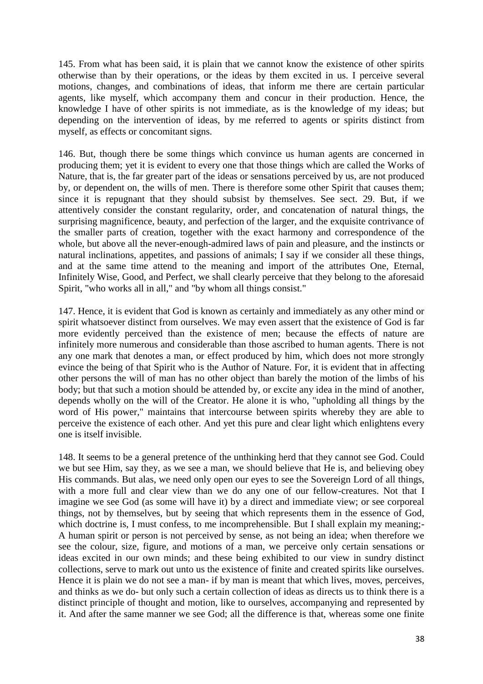145. From what has been said, it is plain that we cannot know the existence of other spirits otherwise than by their operations, or the ideas by them excited in us. I perceive several motions, changes, and combinations of ideas, that inform me there are certain particular agents, like myself, which accompany them and concur in their production. Hence, the knowledge I have of other spirits is not immediate, as is the knowledge of my ideas; but depending on the intervention of ideas, by me referred to agents or spirits distinct from myself, as effects or concomitant signs.

146. But, though there be some things which convince us human agents are concerned in producing them; yet it is evident to every one that those things which are called the Works of Nature, that is, the far greater part of the ideas or sensations perceived by us, are not produced by, or dependent on, the wills of men. There is therefore some other Spirit that causes them; since it is repugnant that they should subsist by themselves. See sect. 29. But, if we attentively consider the constant regularity, order, and concatenation of natural things, the surprising magnificence, beauty, and perfection of the larger, and the exquisite contrivance of the smaller parts of creation, together with the exact harmony and correspondence of the whole, but above all the never-enough-admired laws of pain and pleasure, and the instincts or natural inclinations, appetites, and passions of animals; I say if we consider all these things, and at the same time attend to the meaning and import of the attributes One, Eternal, Infinitely Wise, Good, and Perfect, we shall clearly perceive that they belong to the aforesaid Spirit, "who works all in all," and "by whom all things consist."

147. Hence, it is evident that God is known as certainly and immediately as any other mind or spirit whatsoever distinct from ourselves. We may even assert that the existence of God is far more evidently perceived than the existence of men; because the effects of nature are infinitely more numerous and considerable than those ascribed to human agents. There is not any one mark that denotes a man, or effect produced by him, which does not more strongly evince the being of that Spirit who is the Author of Nature. For, it is evident that in affecting other persons the will of man has no other object than barely the motion of the limbs of his body; but that such a motion should be attended by, or excite any idea in the mind of another, depends wholly on the will of the Creator. He alone it is who, "upholding all things by the word of His power," maintains that intercourse between spirits whereby they are able to perceive the existence of each other. And yet this pure and clear light which enlightens every one is itself invisible.

148. It seems to be a general pretence of the unthinking herd that they cannot see God. Could we but see Him, say they, as we see a man, we should believe that He is, and believing obey His commands. But alas, we need only open our eyes to see the Sovereign Lord of all things, with a more full and clear view than we do any one of our fellow-creatures. Not that I imagine we see God (as some will have it) by a direct and immediate view; or see corporeal things, not by themselves, but by seeing that which represents them in the essence of God, which doctrine is, I must confess, to me incomprehensible. But I shall explain my meaning;-A human spirit or person is not perceived by sense, as not being an idea; when therefore we see the colour, size, figure, and motions of a man, we perceive only certain sensations or ideas excited in our own minds; and these being exhibited to our view in sundry distinct collections, serve to mark out unto us the existence of finite and created spirits like ourselves. Hence it is plain we do not see a man- if by man is meant that which lives, moves, perceives, and thinks as we do- but only such a certain collection of ideas as directs us to think there is a distinct principle of thought and motion, like to ourselves, accompanying and represented by it. And after the same manner we see God; all the difference is that, whereas some one finite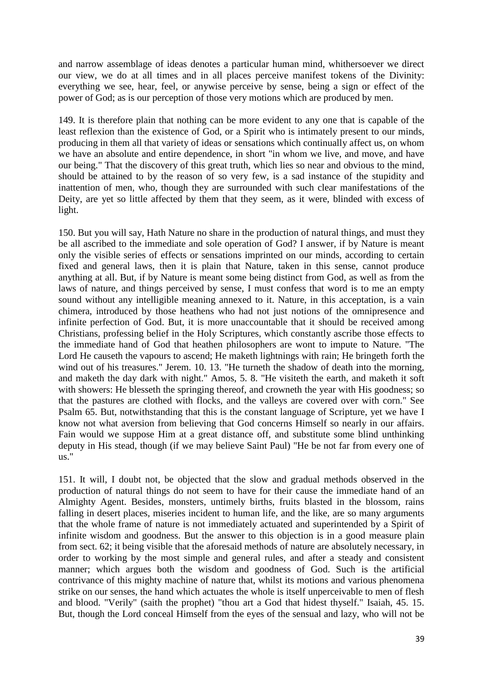and narrow assemblage of ideas denotes a particular human mind, whithersoever we direct our view, we do at all times and in all places perceive manifest tokens of the Divinity: everything we see, hear, feel, or anywise perceive by sense, being a sign or effect of the power of God; as is our perception of those very motions which are produced by men.

149. It is therefore plain that nothing can be more evident to any one that is capable of the least reflexion than the existence of God, or a Spirit who is intimately present to our minds, producing in them all that variety of ideas or sensations which continually affect us, on whom we have an absolute and entire dependence, in short "in whom we live, and move, and have our being." That the discovery of this great truth, which lies so near and obvious to the mind, should be attained to by the reason of so very few, is a sad instance of the stupidity and inattention of men, who, though they are surrounded with such clear manifestations of the Deity, are yet so little affected by them that they seem, as it were, blinded with excess of light.

150. But you will say, Hath Nature no share in the production of natural things, and must they be all ascribed to the immediate and sole operation of God? I answer, if by Nature is meant only the visible series of effects or sensations imprinted on our minds, according to certain fixed and general laws, then it is plain that Nature, taken in this sense, cannot produce anything at all. But, if by Nature is meant some being distinct from God, as well as from the laws of nature, and things perceived by sense, I must confess that word is to me an empty sound without any intelligible meaning annexed to it. Nature, in this acceptation, is a vain chimera, introduced by those heathens who had not just notions of the omnipresence and infinite perfection of God. But, it is more unaccountable that it should be received among Christians, professing belief in the Holy Scriptures, which constantly ascribe those effects to the immediate hand of God that heathen philosophers are wont to impute to Nature. "The Lord He causeth the vapours to ascend; He maketh lightnings with rain; He bringeth forth the wind out of his treasures." Jerem. 10. 13. "He turneth the shadow of death into the morning, and maketh the day dark with night." Amos, 5. 8. "He visiteth the earth, and maketh it soft with showers: He blesseth the springing thereof, and crowneth the year with His goodness; so that the pastures are clothed with flocks, and the valleys are covered over with corn." See Psalm 65. But, notwithstanding that this is the constant language of Scripture, yet we have I know not what aversion from believing that God concerns Himself so nearly in our affairs. Fain would we suppose Him at a great distance off, and substitute some blind unthinking deputy in His stead, though (if we may believe Saint Paul) "He be not far from every one of us."

151. It will, I doubt not, be objected that the slow and gradual methods observed in the production of natural things do not seem to have for their cause the immediate hand of an Almighty Agent. Besides, monsters, untimely births, fruits blasted in the blossom, rains falling in desert places, miseries incident to human life, and the like, are so many arguments that the whole frame of nature is not immediately actuated and superintended by a Spirit of infinite wisdom and goodness. But the answer to this objection is in a good measure plain from sect. 62; it being visible that the aforesaid methods of nature are absolutely necessary, in order to working by the most simple and general rules, and after a steady and consistent manner; which argues both the wisdom and goodness of God. Such is the artificial contrivance of this mighty machine of nature that, whilst its motions and various phenomena strike on our senses, the hand which actuates the whole is itself unperceivable to men of flesh and blood. "Verily" (saith the prophet) "thou art a God that hidest thyself." Isaiah, 45. 15. But, though the Lord conceal Himself from the eyes of the sensual and lazy, who will not be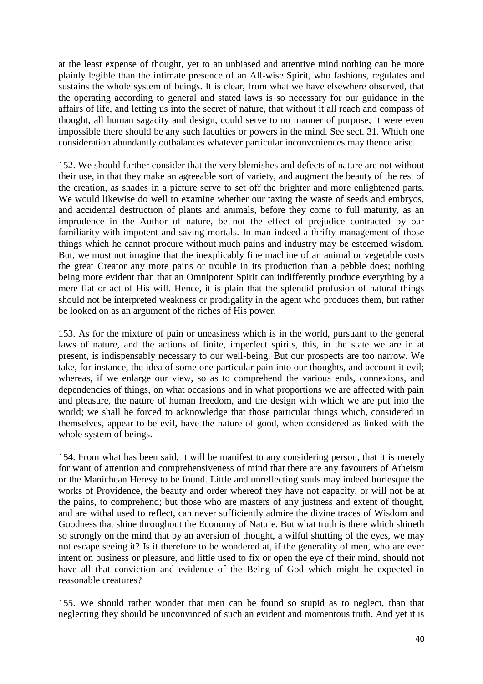at the least expense of thought, yet to an unbiased and attentive mind nothing can be more plainly legible than the intimate presence of an All-wise Spirit, who fashions, regulates and sustains the whole system of beings. It is clear, from what we have elsewhere observed, that the operating according to general and stated laws is so necessary for our guidance in the affairs of life, and letting us into the secret of nature, that without it all reach and compass of thought, all human sagacity and design, could serve to no manner of purpose; it were even impossible there should be any such faculties or powers in the mind. See sect. 31. Which one consideration abundantly outbalances whatever particular inconveniences may thence arise.

152. We should further consider that the very blemishes and defects of nature are not without their use, in that they make an agreeable sort of variety, and augment the beauty of the rest of the creation, as shades in a picture serve to set off the brighter and more enlightened parts. We would likewise do well to examine whether our taxing the waste of seeds and embryos, and accidental destruction of plants and animals, before they come to full maturity, as an imprudence in the Author of nature, be not the effect of prejudice contracted by our familiarity with impotent and saving mortals. In man indeed a thrifty management of those things which he cannot procure without much pains and industry may be esteemed wisdom. But, we must not imagine that the inexplicably fine machine of an animal or vegetable costs the great Creator any more pains or trouble in its production than a pebble does; nothing being more evident than that an Omnipotent Spirit can indifferently produce everything by a mere fiat or act of His will. Hence, it is plain that the splendid profusion of natural things should not be interpreted weakness or prodigality in the agent who produces them, but rather be looked on as an argument of the riches of His power.

153. As for the mixture of pain or uneasiness which is in the world, pursuant to the general laws of nature, and the actions of finite, imperfect spirits, this, in the state we are in at present, is indispensably necessary to our well-being. But our prospects are too narrow. We take, for instance, the idea of some one particular pain into our thoughts, and account it evil; whereas, if we enlarge our view, so as to comprehend the various ends, connexions, and dependencies of things, on what occasions and in what proportions we are affected with pain and pleasure, the nature of human freedom, and the design with which we are put into the world; we shall be forced to acknowledge that those particular things which, considered in themselves, appear to be evil, have the nature of good, when considered as linked with the whole system of beings.

154. From what has been said, it will be manifest to any considering person, that it is merely for want of attention and comprehensiveness of mind that there are any favourers of Atheism or the Manichean Heresy to be found. Little and unreflecting souls may indeed burlesque the works of Providence, the beauty and order whereof they have not capacity, or will not be at the pains, to comprehend; but those who are masters of any justness and extent of thought, and are withal used to reflect, can never sufficiently admire the divine traces of Wisdom and Goodness that shine throughout the Economy of Nature. But what truth is there which shineth so strongly on the mind that by an aversion of thought, a wilful shutting of the eyes, we may not escape seeing it? Is it therefore to be wondered at, if the generality of men, who are ever intent on business or pleasure, and little used to fix or open the eye of their mind, should not have all that conviction and evidence of the Being of God which might be expected in reasonable creatures?

155. We should rather wonder that men can be found so stupid as to neglect, than that neglecting they should be unconvinced of such an evident and momentous truth. And yet it is